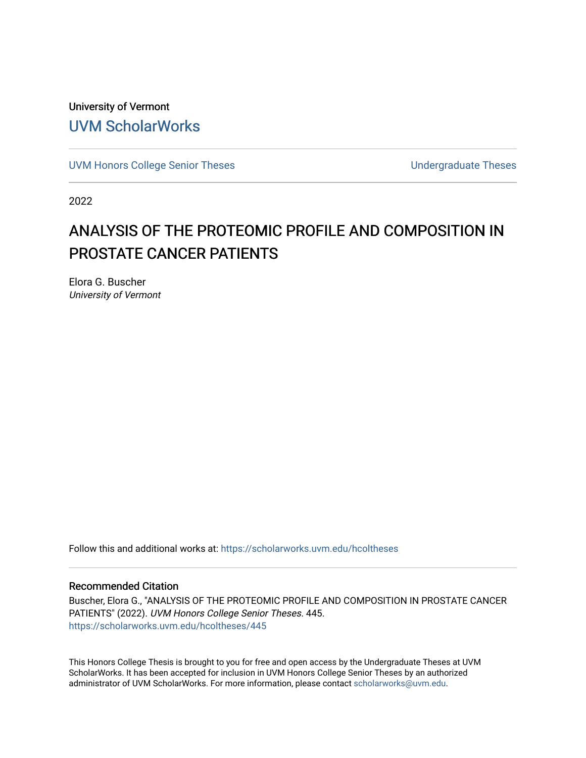University of Vermont [UVM ScholarWorks](https://scholarworks.uvm.edu/)

[UVM Honors College Senior Theses](https://scholarworks.uvm.edu/hcoltheses) **Exercise Sension College Senior Theses** Undergraduate Theses

2022

# ANALYSIS OF THE PROTEOMIC PROFILE AND COMPOSITION IN PROSTATE CANCER PATIENTS

Elora G. Buscher University of Vermont

Follow this and additional works at: [https://scholarworks.uvm.edu/hcoltheses](https://scholarworks.uvm.edu/hcoltheses?utm_source=scholarworks.uvm.edu%2Fhcoltheses%2F445&utm_medium=PDF&utm_campaign=PDFCoverPages) 

#### Recommended Citation

Buscher, Elora G., "ANALYSIS OF THE PROTEOMIC PROFILE AND COMPOSITION IN PROSTATE CANCER PATIENTS" (2022). UVM Honors College Senior Theses. 445. [https://scholarworks.uvm.edu/hcoltheses/445](https://scholarworks.uvm.edu/hcoltheses/445?utm_source=scholarworks.uvm.edu%2Fhcoltheses%2F445&utm_medium=PDF&utm_campaign=PDFCoverPages) 

This Honors College Thesis is brought to you for free and open access by the Undergraduate Theses at UVM ScholarWorks. It has been accepted for inclusion in UVM Honors College Senior Theses by an authorized administrator of UVM ScholarWorks. For more information, please contact [scholarworks@uvm.edu](mailto:scholarworks@uvm.edu).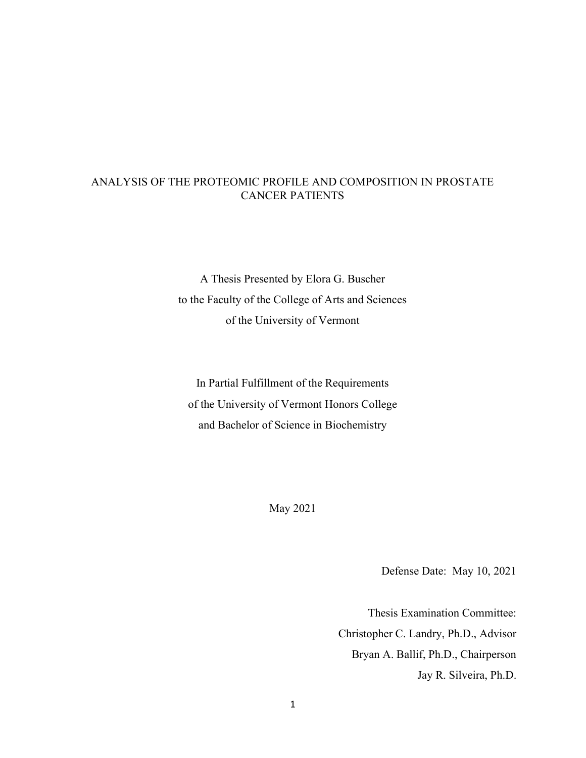## ANALYSIS OF THE PROTEOMIC PROFILE AND COMPOSITION IN PROSTATE CANCER PATIENTS

A Thesis Presented by Elora G. Buscher to the Faculty of the College of Arts and Sciences of the University of Vermont

In Partial Fulfillment of the Requirements of the University of Vermont Honors College and Bachelor of Science in Biochemistry

May 2021

Defense Date: May 10, 2021

Thesis Examination Committee: Christopher C. Landry, Ph.D., Advisor Bryan A. Ballif, Ph.D., Chairperson Jay R. Silveira, Ph.D.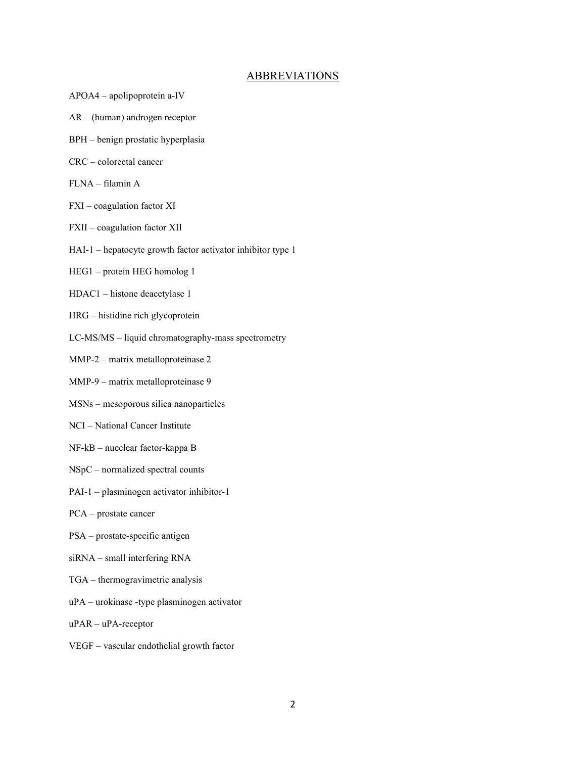#### **ABBREVIATIONS**

- APOA4 apolipoprotein a-IV
- AR (human) androgen receptor
- BPH benign prostatic hyperplasia
- CRC colorectal cancer
- FLNA filamin A
- FXI coagulation factor XI
- FXII coagulation factor XII
- HAI-1 hepatocyte growth factor activator inhibitor type 1
- HEG1 protein HEG homolog 1
- HDAC1 histone deacetylase 1
- HRG histidine rich glycoprotein
- LC-MS/MS liquid chromatography-mass spectrometry
- MMP-2 matrix metalloproteinase 2
- MMP-9 matrix metalloproteinase 9
- MSNs mesoporous silica nanoparticles
- NCI National Cancer Institute
- NF-kB nucclear factor-kappa B
- NSpC normalized spectral counts
- PAI-1 plasminogen activator inhibitor-1
- PCA prostate cancer
- PSA prostate-specific antigen
- siRNA small interfering RNA
- TGA thermogravimetric analysis
- uPA urokinase -type plasminogen activator
- uPAR uPA-receptor
- VEGF vascular endothelial growth factor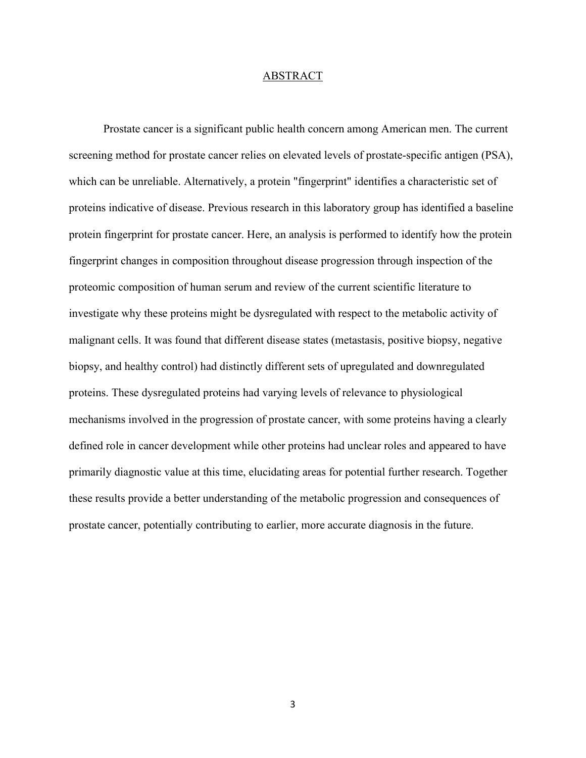#### ABSTRACT

Prostate cancer is a significant public health concern among American men. The current screening method for prostate cancer relies on elevated levels of prostate-specific antigen (PSA), which can be unreliable. Alternatively, a protein "fingerprint" identifies a characteristic set of proteins indicative of disease. Previous research in this laboratory group has identified a baseline protein fingerprint for prostate cancer. Here, an analysis is performed to identify how the protein fingerprint changes in composition throughout disease progression through inspection of the proteomic composition of human serum and review of the current scientific literature to investigate why these proteins might be dysregulated with respect to the metabolic activity of malignant cells. It was found that different disease states (metastasis, positive biopsy, negative biopsy, and healthy control) had distinctly different sets of upregulated and downregulated proteins. These dysregulated proteins had varying levels of relevance to physiological mechanisms involved in the progression of prostate cancer, with some proteins having a clearly defined role in cancer development while other proteins had unclear roles and appeared to have primarily diagnostic value at this time, elucidating areas for potential further research. Together these results provide a better understanding of the metabolic progression and consequences of prostate cancer, potentially contributing to earlier, more accurate diagnosis in the future.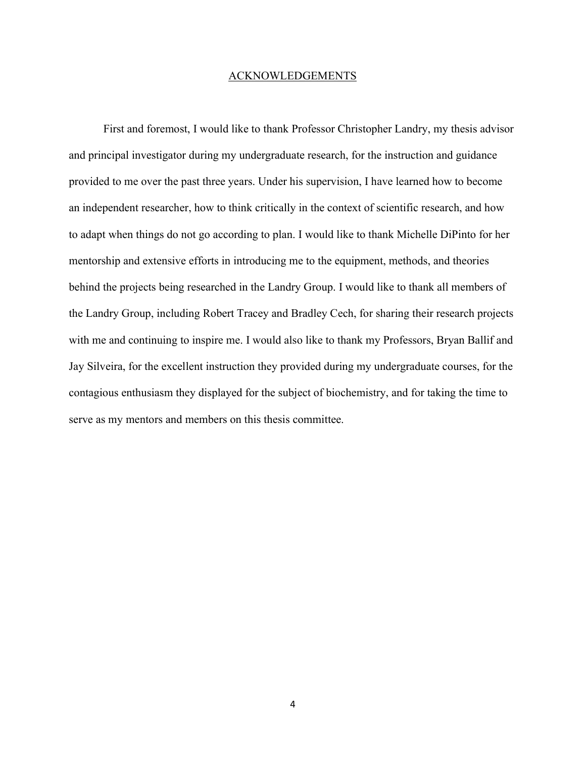#### ACKNOWLEDGEMENTS

First and foremost, I would like to thank Professor Christopher Landry, my thesis advisor and principal investigator during my undergraduate research, for the instruction and guidance provided to me over the past three years. Under his supervision, I have learned how to become an independent researcher, how to think critically in the context of scientific research, and how to adapt when things do not go according to plan. I would like to thank Michelle DiPinto for her mentorship and extensive efforts in introducing me to the equipment, methods, and theories behind the projects being researched in the Landry Group. I would like to thank all members of the Landry Group, including Robert Tracey and Bradley Cech, for sharing their research projects with me and continuing to inspire me. I would also like to thank my Professors, Bryan Ballif and Jay Silveira, for the excellent instruction they provided during my undergraduate courses, for the contagious enthusiasm they displayed for the subject of biochemistry, and for taking the time to serve as my mentors and members on this thesis committee.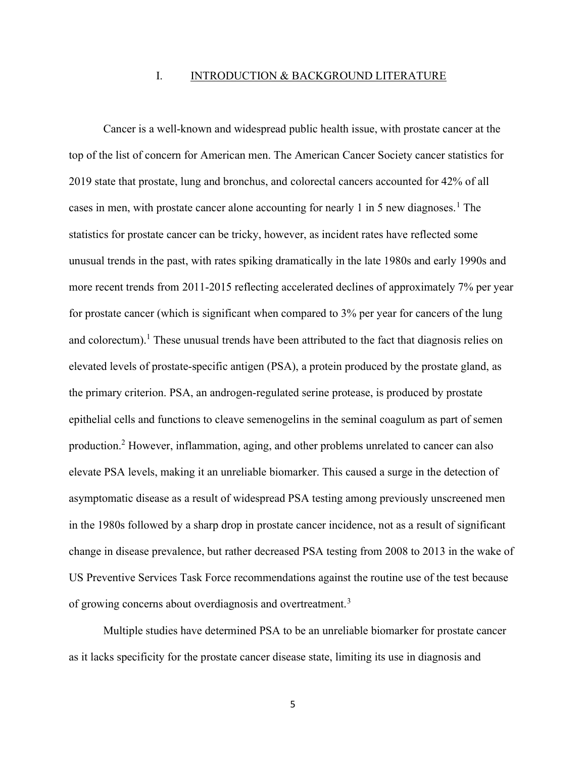#### I. INTRODUCTION & BACKGROUND LITERATURE

Cancer is a well-known and widespread public health issue, with prostate cancer at the top of the list of concern for American men. The American Cancer Society cancer statistics for 2019 state that prostate, lung and bronchus, and colorectal cancers accounted for 42% of all cases in men, with prostate cancer alone accounting for nearly 1 in 5 new diagnoses.<sup>1</sup> The statistics for prostate cancer can be tricky, however, as incident rates have reflected some unusual trends in the past, with rates spiking dramatically in the late 1980s and early 1990s and more recent trends from 2011-2015 reflecting accelerated declines of approximately 7% per year for prostate cancer (which is significant when compared to 3% per year for cancers of the lung and colorectum).<sup>1</sup> These unusual trends have been attributed to the fact that diagnosis relies on elevated levels of prostate-specific antigen (PSA), a protein produced by the prostate gland, as the primary criterion. PSA, an androgen-regulated serine protease, is produced by prostate epithelial cells and functions to cleave semenogelins in the seminal coagulum as part of semen production.<sup>2</sup> However, inflammation, aging, and other problems unrelated to cancer can also elevate PSA levels, making it an unreliable biomarker. This caused a surge in the detection of asymptomatic disease as a result of widespread PSA testing among previously unscreened men in the 1980s followed by a sharp drop in prostate cancer incidence, not as a result of significant change in disease prevalence, but rather decreased PSA testing from 2008 to 2013 in the wake of US Preventive Services Task Force recommendations against the routine use of the test because of growing concerns about overdiagnosis and overtreatment.<sup>3</sup>

Multiple studies have determined PSA to be an unreliable biomarker for prostate cancer as it lacks specificity for the prostate cancer disease state, limiting its use in diagnosis and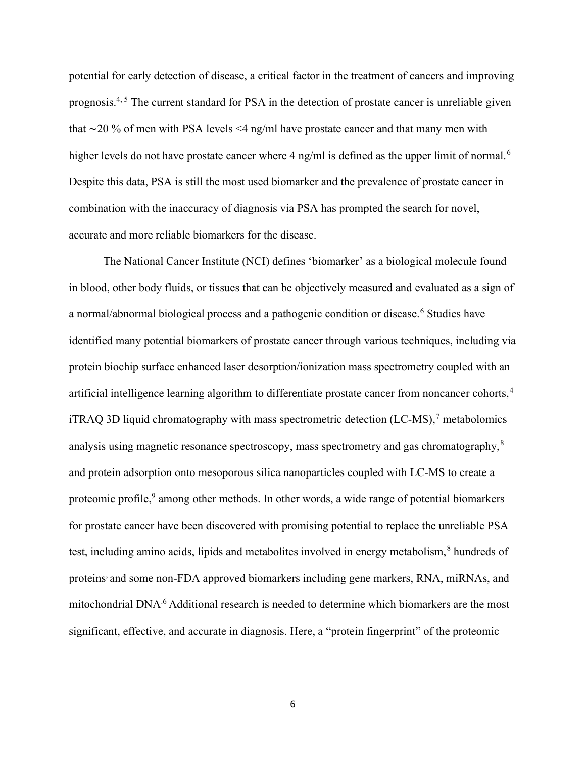potential for early detection of disease, a critical factor in the treatment of cancers and improving prognosis.<sup>4, 5</sup> The current standard for PSA in the detection of prostate cancer is unreliable given that ∼20 % of men with PSA levels <4 ng/ml have prostate cancer and that many men with higher levels do not have prostate cancer where 4 ng/ml is defined as the upper limit of normal.<sup>6</sup> Despite this data, PSA is still the most used biomarker and the prevalence of prostate cancer in combination with the inaccuracy of diagnosis via PSA has prompted the search for novel, accurate and more reliable biomarkers for the disease.

The National Cancer Institute (NCI) defines 'biomarker' as a biological molecule found in blood, other body fluids, or tissues that can be objectively measured and evaluated as a sign of a normal/abnormal biological process and a pathogenic condition or disease.<sup>6</sup> Studies have identified many potential biomarkers of prostate cancer through various techniques, including via protein biochip surface enhanced laser desorption/ionization mass spectrometry coupled with an artificial intelligence learning algorithm to differentiate prostate cancer from noncancer cohorts,<sup>4</sup> iTRAQ 3D liquid chromatography with mass spectrometric detection  $(LC-MS)$ ,<sup>7</sup> metabolomics analysis using magnetic resonance spectroscopy, mass spectrometry and gas chromatography,<sup>8</sup> and protein adsorption onto mesoporous silica nanoparticles coupled with LC-MS to create a proteomic profile,  $9$  among other methods. In other words, a wide range of potential biomarkers for prostate cancer have been discovered with promising potential to replace the unreliable PSA test, including amino acids, lipids and metabolites involved in energy metabolism,<sup>8</sup> hundreds of proteins, and some non-FDA approved biomarkers including gene markers, RNA, miRNAs, and mitochondrial DNA.6 Additional research is needed to determine which biomarkers are the most significant, effective, and accurate in diagnosis. Here, a "protein fingerprint" of the proteomic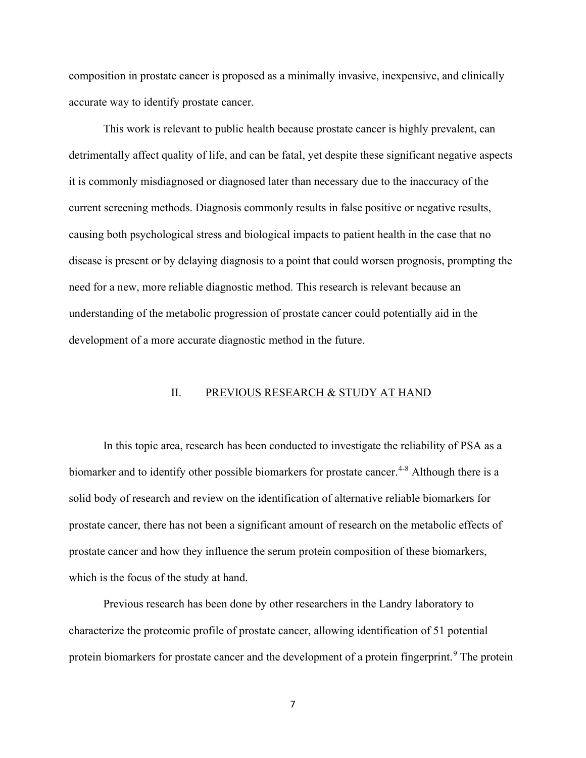composition in prostate cancer is proposed as a minimally invasive, inexpensive, and clinically accurate way to identify prostate cancer.

This work is relevant to public health because prostate cancer is highly prevalent, can detrimentally affect quality of life, and can be fatal, yet despite these significant negative aspects it is commonly misdiagnosed or diagnosed later than necessary due to the inaccuracy of the current screening methods. Diagnosis commonly results in false positive or negative results, causing both psychological stress and biological impacts to patient health in the case that no disease is present or by delaying diagnosis to a point that could worsen prognosis, prompting the need for a new, more reliable diagnostic method. This research is relevant because an understanding of the metabolic progression of prostate cancer could potentially aid in the development of a more accurate diagnostic method in the future.

#### II. PREVIOUS RESEARCH & STUDY AT HAND

In this topic area, research has been conducted to investigate the reliability of PSA as a biomarker and to identify other possible biomarkers for prostate cancer.<sup>4-8</sup> Although there is a solid body of research and review on the identification of alternative reliable biomarkers for prostate cancer, there has not been a significant amount of research on the metabolic effects of prostate cancer and how they influence the serum protein composition of these biomarkers, which is the focus of the study at hand.

Previous research has been done by other researchers in the Landry laboratory to characterize the proteomic profile of prostate cancer, allowing identification of 51 potential protein biomarkers for prostate cancer and the development of a protein fingerprint.<sup>9</sup> The protein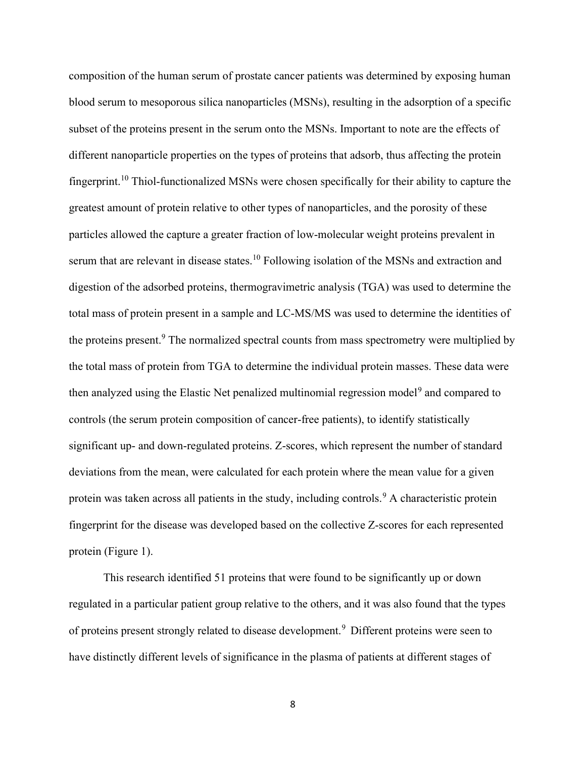composition of the human serum of prostate cancer patients was determined by exposing human blood serum to mesoporous silica nanoparticles (MSNs), resulting in the adsorption of a specific subset of the proteins present in the serum onto the MSNs. Important to note are the effects of different nanoparticle properties on the types of proteins that adsorb, thus affecting the protein fingerprint.<sup>10</sup> Thiol-functionalized MSNs were chosen specifically for their ability to capture the greatest amount of protein relative to other types of nanoparticles, and the porosity of these particles allowed the capture a greater fraction of low-molecular weight proteins prevalent in serum that are relevant in disease states.<sup>10</sup> Following isolation of the MSNs and extraction and digestion of the adsorbed proteins, thermogravimetric analysis (TGA) was used to determine the total mass of protein present in a sample and LC-MS/MS was used to determine the identities of the proteins present.<sup>9</sup> The normalized spectral counts from mass spectrometry were multiplied by the total mass of protein from TGA to determine the individual protein masses. These data were then analyzed using the Elastic Net penalized multinomial regression model<sup>9</sup> and compared to controls (the serum protein composition of cancer-free patients), to identify statistically significant up- and down-regulated proteins. Z-scores, which represent the number of standard deviations from the mean, were calculated for each protein where the mean value for a given protein was taken across all patients in the study, including controls.<sup>9</sup> A characteristic protein fingerprint for the disease was developed based on the collective Z-scores for each represented protein (Figure 1).

This research identified 51 proteins that were found to be significantly up or down regulated in a particular patient group relative to the others, and it was also found that the types of proteins present strongly related to disease development.<sup>9</sup> Different proteins were seen to have distinctly different levels of significance in the plasma of patients at different stages of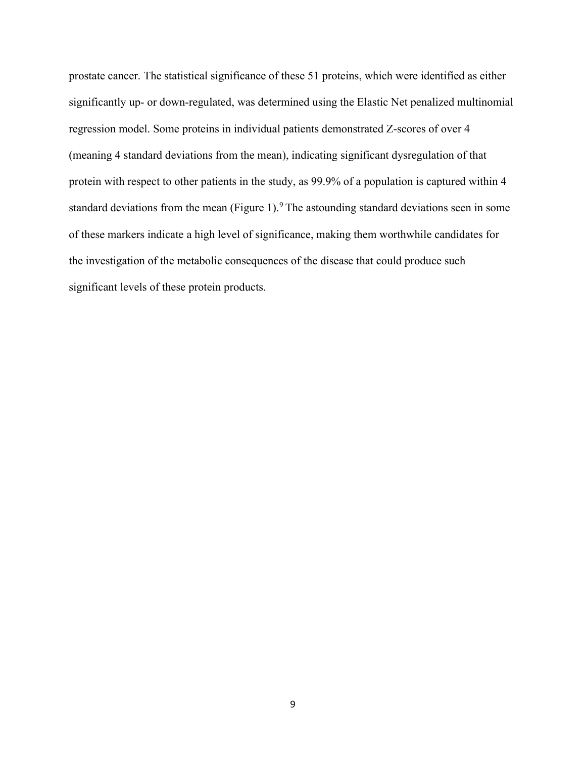prostate cancer. The statistical significance of these 51 proteins, which were identified as either significantly up- or down-regulated, was determined using the Elastic Net penalized multinomial regression model. Some proteins in individual patients demonstrated Z-scores of over 4 (meaning 4 standard deviations from the mean), indicating significant dysregulation of that protein with respect to other patients in the study, as 99.9% of a population is captured within 4 standard deviations from the mean (Figure 1).<sup>9</sup> The astounding standard deviations seen in some of these markers indicate a high level of significance, making them worthwhile candidates for the investigation of the metabolic consequences of the disease that could produce such significant levels of these protein products.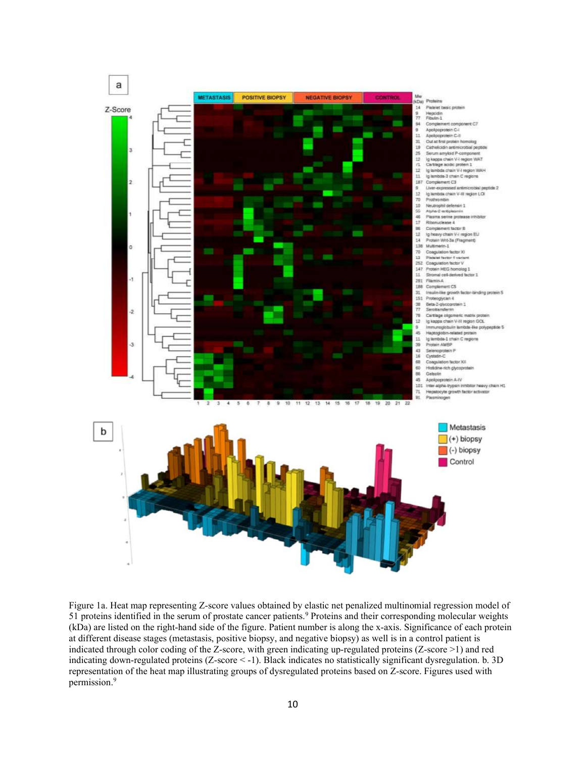

Figure 1a. Heat map representing Z-score values obtained by elastic net penalized multinomial regression model of 51 proteins identified in the serum of prostate cancer patients.<sup>9</sup> Proteins and their corresponding molecular weights (kDa) are listed on the right-hand side of the figure. Patient number is along the x-axis. Significance of each protein at different disease stages (metastasis, positive biopsy, and negative biopsy) as well is in a control patient is indicated through color coding of the Z-score, with green indicating up-regulated proteins (Z-score >1) and red indicating down-regulated proteins (Z-score < -1). Black indicates no statistically significant dysregulation. b. 3D representation of the heat map illustrating groups of dysregulated proteins based on Z-score. Figures used with permission.9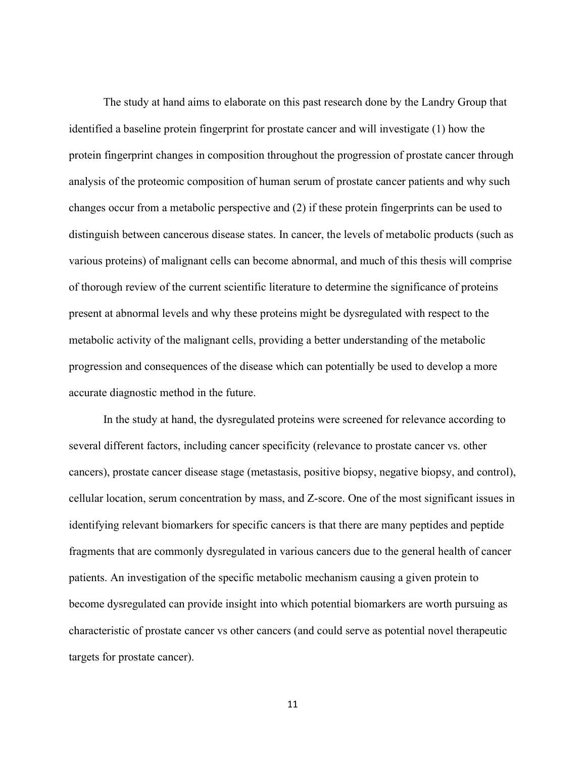The study at hand aims to elaborate on this past research done by the Landry Group that identified a baseline protein fingerprint for prostate cancer and will investigate (1) how the protein fingerprint changes in composition throughout the progression of prostate cancer through analysis of the proteomic composition of human serum of prostate cancer patients and why such changes occur from a metabolic perspective and (2) if these protein fingerprints can be used to distinguish between cancerous disease states. In cancer, the levels of metabolic products (such as various proteins) of malignant cells can become abnormal, and much of this thesis will comprise of thorough review of the current scientific literature to determine the significance of proteins present at abnormal levels and why these proteins might be dysregulated with respect to the metabolic activity of the malignant cells, providing a better understanding of the metabolic progression and consequences of the disease which can potentially be used to develop a more accurate diagnostic method in the future.

In the study at hand, the dysregulated proteins were screened for relevance according to several different factors, including cancer specificity (relevance to prostate cancer vs. other cancers), prostate cancer disease stage (metastasis, positive biopsy, negative biopsy, and control), cellular location, serum concentration by mass, and Z-score. One of the most significant issues in identifying relevant biomarkers for specific cancers is that there are many peptides and peptide fragments that are commonly dysregulated in various cancers due to the general health of cancer patients. An investigation of the specific metabolic mechanism causing a given protein to become dysregulated can provide insight into which potential biomarkers are worth pursuing as characteristic of prostate cancer vs other cancers (and could serve as potential novel therapeutic targets for prostate cancer).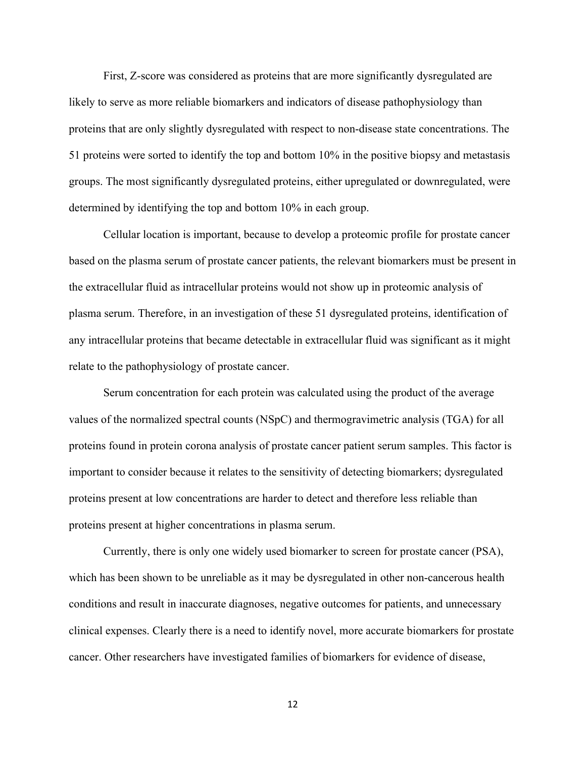First, Z-score was considered as proteins that are more significantly dysregulated are likely to serve as more reliable biomarkers and indicators of disease pathophysiology than proteins that are only slightly dysregulated with respect to non-disease state concentrations. The 51 proteins were sorted to identify the top and bottom 10% in the positive biopsy and metastasis groups. The most significantly dysregulated proteins, either upregulated or downregulated, were determined by identifying the top and bottom 10% in each group.

Cellular location is important, because to develop a proteomic profile for prostate cancer based on the plasma serum of prostate cancer patients, the relevant biomarkers must be present in the extracellular fluid as intracellular proteins would not show up in proteomic analysis of plasma serum. Therefore, in an investigation of these 51 dysregulated proteins, identification of any intracellular proteins that became detectable in extracellular fluid was significant as it might relate to the pathophysiology of prostate cancer.

Serum concentration for each protein was calculated using the product of the average values of the normalized spectral counts (NSpC) and thermogravimetric analysis (TGA) for all proteins found in protein corona analysis of prostate cancer patient serum samples. This factor is important to consider because it relates to the sensitivity of detecting biomarkers; dysregulated proteins present at low concentrations are harder to detect and therefore less reliable than proteins present at higher concentrations in plasma serum.

Currently, there is only one widely used biomarker to screen for prostate cancer (PSA), which has been shown to be unreliable as it may be dysregulated in other non-cancerous health conditions and result in inaccurate diagnoses, negative outcomes for patients, and unnecessary clinical expenses. Clearly there is a need to identify novel, more accurate biomarkers for prostate cancer. Other researchers have investigated families of biomarkers for evidence of disease,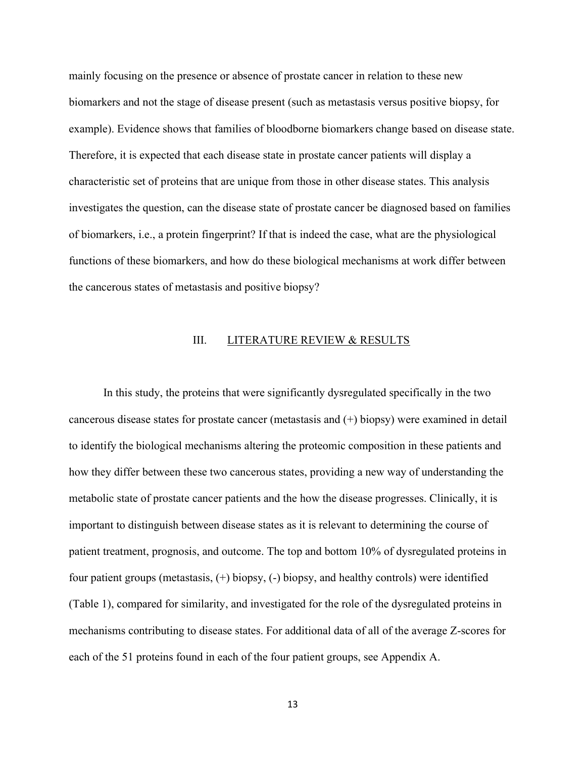mainly focusing on the presence or absence of prostate cancer in relation to these new biomarkers and not the stage of disease present (such as metastasis versus positive biopsy, for example). Evidence shows that families of bloodborne biomarkers change based on disease state. Therefore, it is expected that each disease state in prostate cancer patients will display a characteristic set of proteins that are unique from those in other disease states. This analysis investigates the question, can the disease state of prostate cancer be diagnosed based on families of biomarkers, i.e., a protein fingerprint? If that is indeed the case, what are the physiological functions of these biomarkers, and how do these biological mechanisms at work differ between the cancerous states of metastasis and positive biopsy?

#### III. LITERATURE REVIEW & RESULTS

In this study, the proteins that were significantly dysregulated specifically in the two cancerous disease states for prostate cancer (metastasis and (+) biopsy) were examined in detail to identify the biological mechanisms altering the proteomic composition in these patients and how they differ between these two cancerous states, providing a new way of understanding the metabolic state of prostate cancer patients and the how the disease progresses. Clinically, it is important to distinguish between disease states as it is relevant to determining the course of patient treatment, prognosis, and outcome. The top and bottom 10% of dysregulated proteins in four patient groups (metastasis, (+) biopsy, (-) biopsy, and healthy controls) were identified (Table 1), compared for similarity, and investigated for the role of the dysregulated proteins in mechanisms contributing to disease states. For additional data of all of the average Z-scores for each of the 51 proteins found in each of the four patient groups, see Appendix A.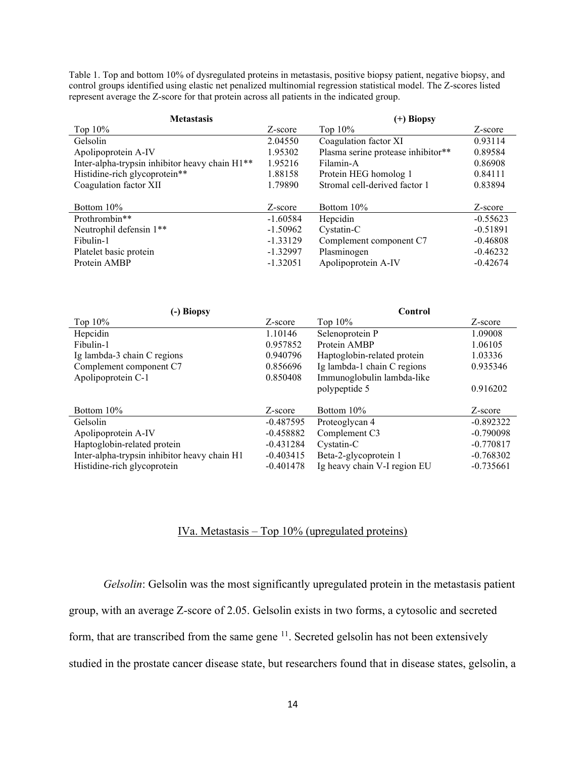Table 1. Top and bottom 10% of dysregulated proteins in metastasis, positive biopsy patient, negative biopsy, and control groups identified using elastic net penalized multinomial regression statistical model. The Z-scores listed represent average the Z-score for that protein across all patients in the indicated group.

| <b>Metastasis</b>                                          | (+) Biopsy |                                    |            |
|------------------------------------------------------------|------------|------------------------------------|------------|
| Top $10\%$                                                 | Z-score    | Top $10\%$                         | Z-score    |
| Gelsolin                                                   | 2.04550    | Coagulation factor XI              | 0.93114    |
| Apolipoprotein A-IV                                        | 1.95302    | Plasma serine protease inhibitor** | 0.89584    |
| Inter-alpha-trypsin inhibitor heavy chain H1 <sup>**</sup> | 1.95216    | Filamin-A                          | 0.86908    |
| Histidine-rich glycoprotein**                              | 1.88158    | Protein HEG homolog 1              | 0.84111    |
| Coagulation factor XII                                     | 1.79890    | Stromal cell-derived factor 1      | 0.83894    |
|                                                            |            |                                    |            |
| Bottom $10\%$                                              | Z-score    | Bottom 10%                         | Z-score    |
| Prothrombin**                                              | $-1.60584$ | Hepcidin                           | $-0.55623$ |
| Neutrophil defensin 1**                                    | $-1.50962$ | Cystatin-C                         | $-0.51891$ |
| Fibulin-1                                                  | $-1.33129$ | Complement component C7            | $-0.46808$ |
| Platelet basic protein                                     | $-1.32997$ | Plasminogen                        | $-0.46232$ |
| Protein AMBP                                               | $-1.32051$ | Apolipoprotein A-IV                | $-0.42674$ |

| (-) Biopsy                                   |             | Control                      |             |  |
|----------------------------------------------|-------------|------------------------------|-------------|--|
| Top $10\%$                                   | Z-score     | Top $10\%$                   | Z-score     |  |
| Hepcidin                                     | 1.10146     | Selenoprotein P              | 1.09008     |  |
| Fibulin-1                                    | 0.957852    | Protein AMBP                 | 1.06105     |  |
| Ig lambda-3 chain C regions                  | 0.940796    | Haptoglobin-related protein  | 1.03336     |  |
| Complement component C7                      | 0.856696    | Ig lambda-1 chain C regions  | 0.935346    |  |
| Apolipoprotein C-1                           | 0.850408    | Immunoglobulin lambda-like   |             |  |
|                                              |             | polypeptide 5                | 0.916202    |  |
|                                              |             |                              |             |  |
| Bottom $10\%$                                | Z-score     | Bottom 10%                   | Z-score     |  |
| Gelsolin                                     | $-0.487595$ | Proteoglycan 4               | $-0.892322$ |  |
| Apolipoprotein A-IV                          | $-0.458882$ | Complement C3                | $-0.790098$ |  |
| Haptoglobin-related protein                  | $-0.431284$ | Cystatin-C                   | $-0.770817$ |  |
| Inter-alpha-trypsin inhibitor heavy chain H1 | $-0.403415$ | Beta-2-glycoprotein 1        | $-0.768302$ |  |
| Histidine-rich glycoprotein                  | $-0.401478$ | Ig heavy chain V-I region EU | $-0.735661$ |  |

## IVa. Metastasis – Top 10% (upregulated proteins)

Gelsolin: Gelsolin was the most significantly upregulated protein in the metastasis patient

group, with an average Z-score of 2.05. Gelsolin exists in two forms, a cytosolic and secreted

form, that are transcribed from the same gene  $11$ . Secreted gelsolin has not been extensively

studied in the prostate cancer disease state, but researchers found that in disease states, gelsolin, a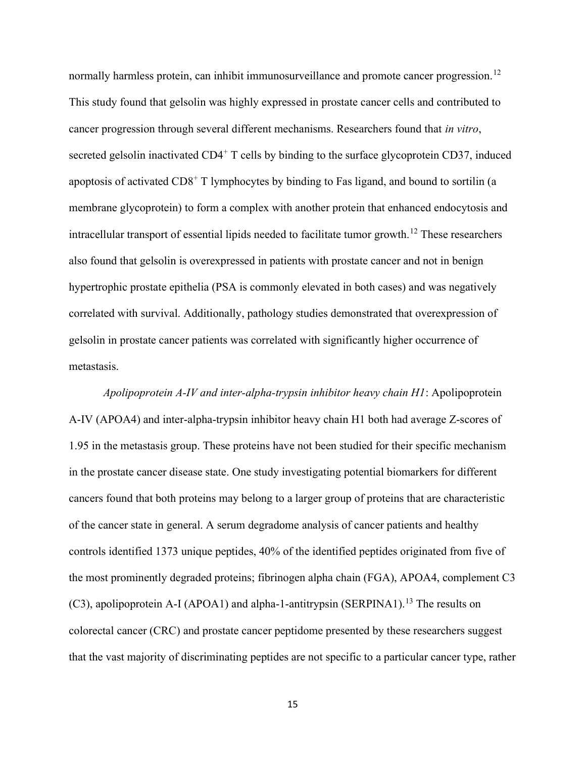normally harmless protein, can inhibit immunosurveillance and promote cancer progression.<sup>12</sup> This study found that gelsolin was highly expressed in prostate cancer cells and contributed to cancer progression through several different mechanisms. Researchers found that in vitro, secreted gelsolin inactivated CD4<sup>+</sup> T cells by binding to the surface glycoprotein CD37, induced apoptosis of activated CD8<sup>+</sup> T lymphocytes by binding to Fas ligand, and bound to sortilin (a membrane glycoprotein) to form a complex with another protein that enhanced endocytosis and intracellular transport of essential lipids needed to facilitate tumor growth.<sup>12</sup> These researchers also found that gelsolin is overexpressed in patients with prostate cancer and not in benign hypertrophic prostate epithelia (PSA is commonly elevated in both cases) and was negatively correlated with survival. Additionally, pathology studies demonstrated that overexpression of gelsolin in prostate cancer patients was correlated with significantly higher occurrence of metastasis.

Apolipoprotein A-IV and inter-alpha-trypsin inhibitor heavy chain H1: Apolipoprotein A-IV (APOA4) and inter-alpha-trypsin inhibitor heavy chain H1 both had average Z-scores of 1.95 in the metastasis group. These proteins have not been studied for their specific mechanism in the prostate cancer disease state. One study investigating potential biomarkers for different cancers found that both proteins may belong to a larger group of proteins that are characteristic of the cancer state in general. A serum degradome analysis of cancer patients and healthy controls identified 1373 unique peptides, 40% of the identified peptides originated from five of the most prominently degraded proteins; fibrinogen alpha chain (FGA), APOA4, complement C3 (C3), apolipoprotein A-I (APOA1) and alpha-1-antitrypsin (SERPINA1).<sup>13</sup> The results on colorectal cancer (CRC) and prostate cancer peptidome presented by these researchers suggest that the vast majority of discriminating peptides are not specific to a particular cancer type, rather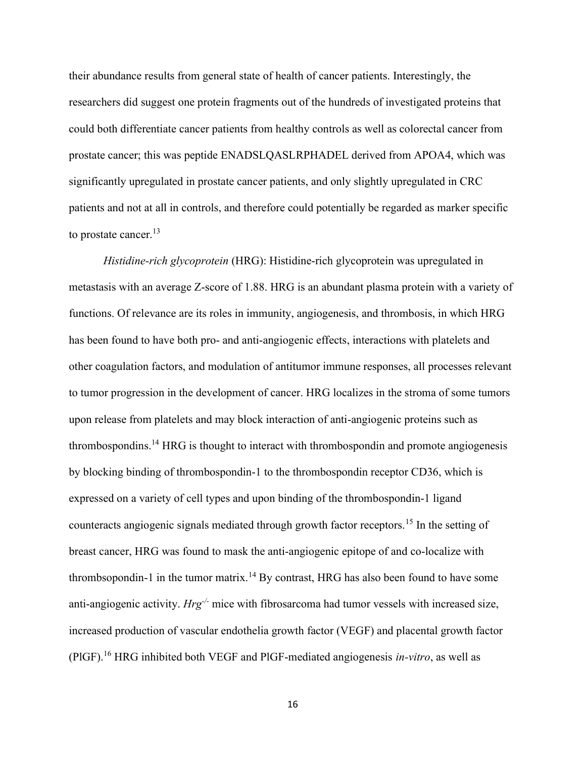their abundance results from general state of health of cancer patients. Interestingly, the researchers did suggest one protein fragments out of the hundreds of investigated proteins that could both differentiate cancer patients from healthy controls as well as colorectal cancer from prostate cancer; this was peptide ENADSLQASLRPHADEL derived from APOA4, which was significantly upregulated in prostate cancer patients, and only slightly upregulated in CRC patients and not at all in controls, and therefore could potentially be regarded as marker specific to prostate cancer.<sup>13</sup>

Histidine-rich glycoprotein (HRG): Histidine-rich glycoprotein was upregulated in metastasis with an average Z-score of 1.88. HRG is an abundant plasma protein with a variety of functions. Of relevance are its roles in immunity, angiogenesis, and thrombosis, in which HRG has been found to have both pro- and anti-angiogenic effects, interactions with platelets and other coagulation factors, and modulation of antitumor immune responses, all processes relevant to tumor progression in the development of cancer. HRG localizes in the stroma of some tumors upon release from platelets and may block interaction of anti-angiogenic proteins such as thrombospondins.<sup>14</sup> HRG is thought to interact with thrombospondin and promote angiogenesis by blocking binding of thrombospondin-1 to the thrombospondin receptor CD36, which is expressed on a variety of cell types and upon binding of the thrombospondin-1 ligand counteracts angiogenic signals mediated through growth factor receptors.<sup>15</sup> In the setting of breast cancer, HRG was found to mask the anti-angiogenic epitope of and co-localize with thrombsopondin-1 in the tumor matrix.<sup>14</sup> By contrast, HRG has also been found to have some anti-angiogenic activity.  $Hrg<sup>-/-</sup>$  mice with fibrosarcoma had tumor vessels with increased size, increased production of vascular endothelia growth factor (VEGF) and placental growth factor (PlGF).<sup>16</sup> HRG inhibited both VEGF and PlGF-mediated angiogenesis in-vitro, as well as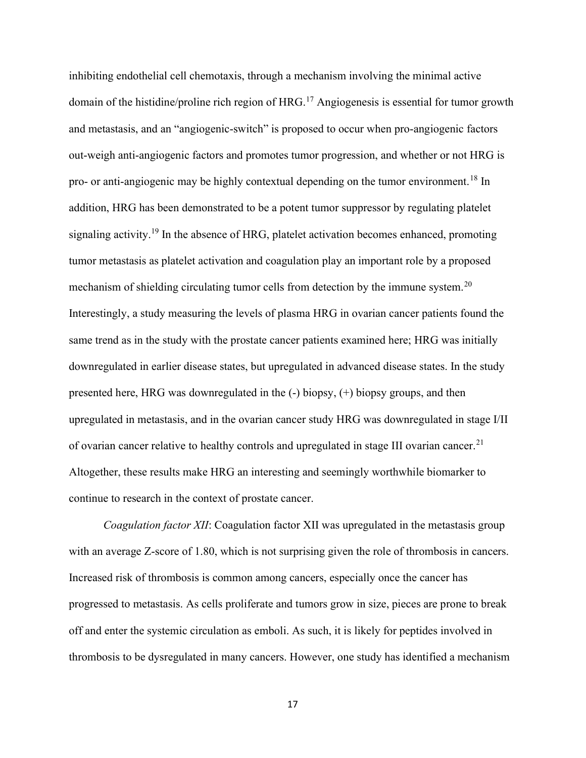inhibiting endothelial cell chemotaxis, through a mechanism involving the minimal active domain of the histidine/proline rich region of HRG.<sup>17</sup> Angiogenesis is essential for tumor growth and metastasis, and an "angiogenic-switch" is proposed to occur when pro-angiogenic factors out-weigh anti-angiogenic factors and promotes tumor progression, and whether or not HRG is pro- or anti-angiogenic may be highly contextual depending on the tumor environment.<sup>18</sup> In addition, HRG has been demonstrated to be a potent tumor suppressor by regulating platelet signaling activity.<sup>19</sup> In the absence of HRG, platelet activation becomes enhanced, promoting tumor metastasis as platelet activation and coagulation play an important role by a proposed mechanism of shielding circulating tumor cells from detection by the immune system.<sup>20</sup> Interestingly, a study measuring the levels of plasma HRG in ovarian cancer patients found the same trend as in the study with the prostate cancer patients examined here; HRG was initially downregulated in earlier disease states, but upregulated in advanced disease states. In the study presented here, HRG was downregulated in the (-) biopsy, (+) biopsy groups, and then upregulated in metastasis, and in the ovarian cancer study HRG was downregulated in stage I/II of ovarian cancer relative to healthy controls and upregulated in stage III ovarian cancer.<sup>21</sup> Altogether, these results make HRG an interesting and seemingly worthwhile biomarker to continue to research in the context of prostate cancer.

Coagulation factor XII: Coagulation factor XII was upregulated in the metastasis group with an average Z-score of 1.80, which is not surprising given the role of thrombosis in cancers. Increased risk of thrombosis is common among cancers, especially once the cancer has progressed to metastasis. As cells proliferate and tumors grow in size, pieces are prone to break off and enter the systemic circulation as emboli. As such, it is likely for peptides involved in thrombosis to be dysregulated in many cancers. However, one study has identified a mechanism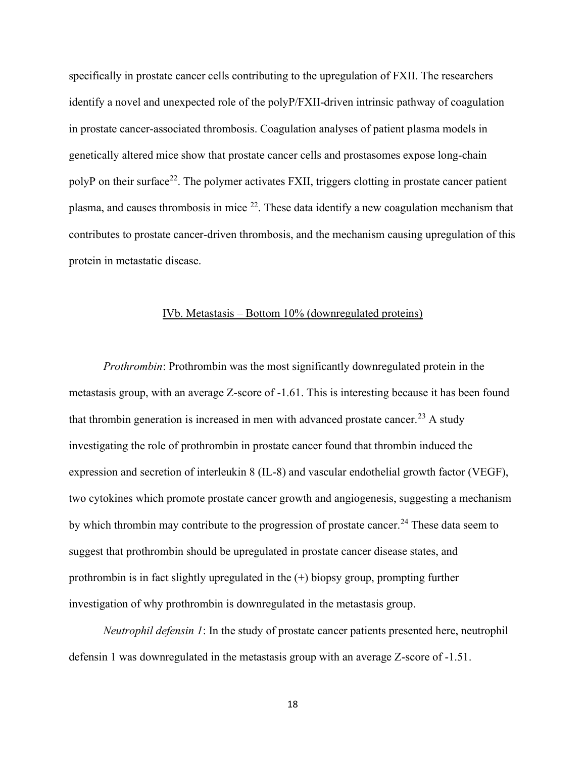specifically in prostate cancer cells contributing to the upregulation of FXII. The researchers identify a novel and unexpected role of the polyP/FXII-driven intrinsic pathway of coagulation in prostate cancer-associated thrombosis. Coagulation analyses of patient plasma models in genetically altered mice show that prostate cancer cells and prostasomes expose long-chain polyP on their surface<sup>22</sup>. The polymer activates FXII, triggers clotting in prostate cancer patient plasma, and causes thrombosis in mice  $^{22}$ . These data identify a new coagulation mechanism that contributes to prostate cancer-driven thrombosis, and the mechanism causing upregulation of this protein in metastatic disease.

#### IVb. Metastasis – Bottom 10% (downregulated proteins)

Prothrombin: Prothrombin was the most significantly downregulated protein in the metastasis group, with an average Z-score of -1.61. This is interesting because it has been found that thrombin generation is increased in men with advanced prostate cancer.<sup>23</sup> A study investigating the role of prothrombin in prostate cancer found that thrombin induced the expression and secretion of interleukin 8 (IL-8) and vascular endothelial growth factor (VEGF), two cytokines which promote prostate cancer growth and angiogenesis, suggesting a mechanism by which thrombin may contribute to the progression of prostate cancer.<sup>24</sup> These data seem to suggest that prothrombin should be upregulated in prostate cancer disease states, and prothrombin is in fact slightly upregulated in the  $(+)$  biopsy group, prompting further investigation of why prothrombin is downregulated in the metastasis group.

Neutrophil defensin 1: In the study of prostate cancer patients presented here, neutrophil defensin 1 was downregulated in the metastasis group with an average Z-score of -1.51.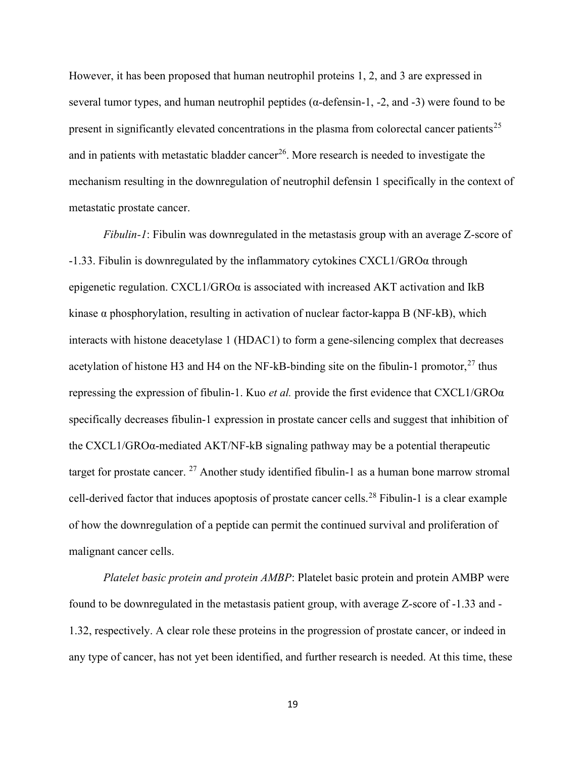However, it has been proposed that human neutrophil proteins 1, 2, and 3 are expressed in several tumor types, and human neutrophil peptides ( $\alpha$ -defensin-1, -2, and -3) were found to be present in significantly elevated concentrations in the plasma from colorectal cancer patients<sup>25</sup> and in patients with metastatic bladder cancer<sup>26</sup>. More research is needed to investigate the mechanism resulting in the downregulation of neutrophil defensin 1 specifically in the context of metastatic prostate cancer.

Fibulin-1: Fibulin was downregulated in the metastasis group with an average Z-score of -1.33. Fibulin is downregulated by the inflammatory cytokines CXCL1/GROα through epigenetic regulation.  $CXCL1/GRO\alpha$  is associated with increased AKT activation and IkB kinase  $\alpha$  phosphorylation, resulting in activation of nuclear factor-kappa B (NF-kB), which interacts with histone deacetylase 1 (HDAC1) to form a gene-silencing complex that decreases acetylation of histone H3 and H4 on the NF-kB-binding site on the fibulin-1 promotor,  $27$  thus repressing the expression of fibulin-1. Kuo *et al.* provide the first evidence that  $CXCL1/GRO\alpha$ specifically decreases fibulin-1 expression in prostate cancer cells and suggest that inhibition of the CXCL1/GROα-mediated AKT/NF-kB signaling pathway may be a potential therapeutic target for prostate cancer.  $27$  Another study identified fibulin-1 as a human bone marrow stromal cell-derived factor that induces apoptosis of prostate cancer cells.<sup>28</sup> Fibulin-1 is a clear example of how the downregulation of a peptide can permit the continued survival and proliferation of malignant cancer cells.

Platelet basic protein and protein AMBP: Platelet basic protein and protein AMBP were found to be downregulated in the metastasis patient group, with average Z-score of -1.33 and - 1.32, respectively. A clear role these proteins in the progression of prostate cancer, or indeed in any type of cancer, has not yet been identified, and further research is needed. At this time, these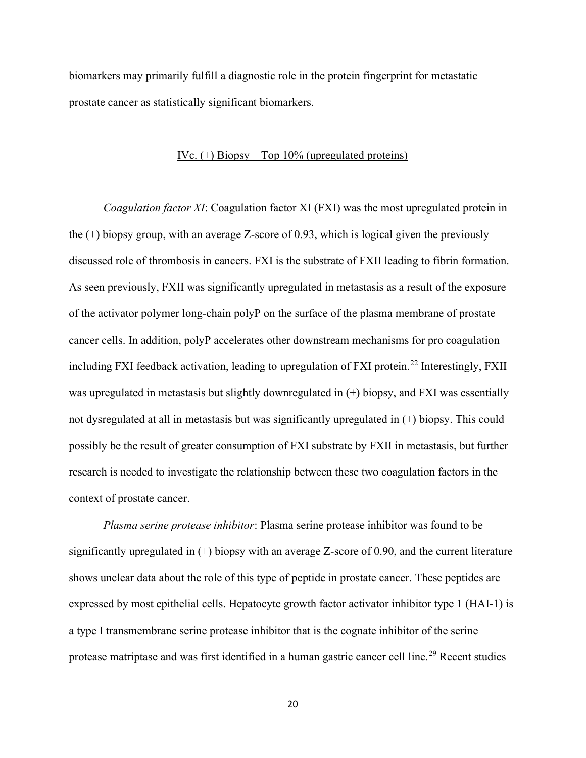biomarkers may primarily fulfill a diagnostic role in the protein fingerprint for metastatic prostate cancer as statistically significant biomarkers.

#### IVc.  $(+)$  Biopsy – Top 10% (upregulated proteins)

Coagulation factor XI: Coagulation factor XI (FXI) was the most upregulated protein in the (+) biopsy group, with an average Z-score of 0.93, which is logical given the previously discussed role of thrombosis in cancers. FXI is the substrate of FXII leading to fibrin formation. As seen previously, FXII was significantly upregulated in metastasis as a result of the exposure of the activator polymer long-chain polyP on the surface of the plasma membrane of prostate cancer cells. In addition, polyP accelerates other downstream mechanisms for pro coagulation including FXI feedback activation, leading to upregulation of FXI protein.<sup>22</sup> Interestingly, FXII was upregulated in metastasis but slightly downregulated in (+) biopsy, and FXI was essentially not dysregulated at all in metastasis but was significantly upregulated in (+) biopsy. This could possibly be the result of greater consumption of FXI substrate by FXII in metastasis, but further research is needed to investigate the relationship between these two coagulation factors in the context of prostate cancer.

Plasma serine protease inhibitor: Plasma serine protease inhibitor was found to be significantly upregulated in (+) biopsy with an average Z-score of 0.90, and the current literature shows unclear data about the role of this type of peptide in prostate cancer. These peptides are expressed by most epithelial cells. Hepatocyte growth factor activator inhibitor type 1 (HAI-1) is a type I transmembrane serine protease inhibitor that is the cognate inhibitor of the serine protease matriptase and was first identified in a human gastric cancer cell line.<sup>29</sup> Recent studies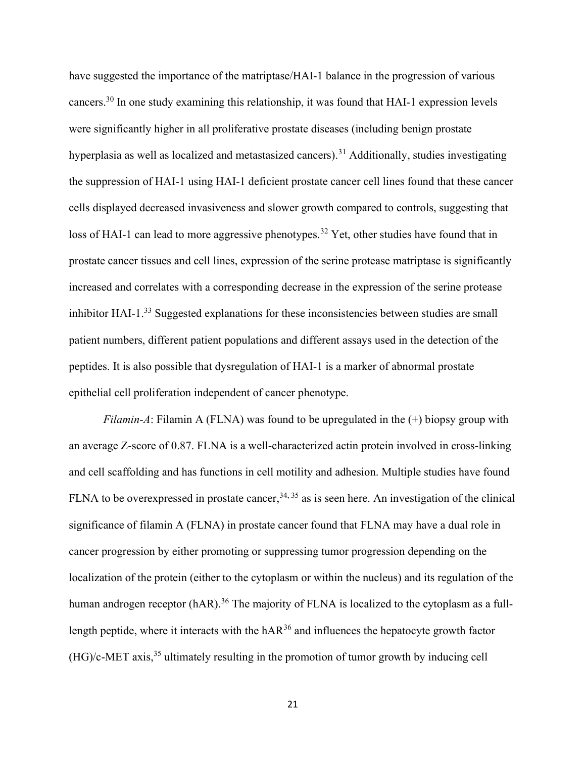have suggested the importance of the matriptase/HAI-1 balance in the progression of various cancers.<sup>30</sup> In one study examining this relationship, it was found that HAI-1 expression levels were significantly higher in all proliferative prostate diseases (including benign prostate hyperplasia as well as localized and metastasized cancers).<sup>31</sup> Additionally, studies investigating the suppression of HAI-1 using HAI-1 deficient prostate cancer cell lines found that these cancer cells displayed decreased invasiveness and slower growth compared to controls, suggesting that loss of HAI-1 can lead to more aggressive phenotypes.<sup>32</sup> Yet, other studies have found that in prostate cancer tissues and cell lines, expression of the serine protease matriptase is significantly increased and correlates with a corresponding decrease in the expression of the serine protease inhibitor HAI-1.<sup>33</sup> Suggested explanations for these inconsistencies between studies are small patient numbers, different patient populations and different assays used in the detection of the peptides. It is also possible that dysregulation of HAI-1 is a marker of abnormal prostate epithelial cell proliferation independent of cancer phenotype.

*Filamin-A*: Filamin A (FLNA) was found to be upregulated in the  $(+)$  biopsy group with an average Z-score of 0.87. FLNA is a well-characterized actin protein involved in cross-linking and cell scaffolding and has functions in cell motility and adhesion. Multiple studies have found FLNA to be overexpressed in prostate cancer,  $34, 35$  as is seen here. An investigation of the clinical significance of filamin A (FLNA) in prostate cancer found that FLNA may have a dual role in cancer progression by either promoting or suppressing tumor progression depending on the localization of the protein (either to the cytoplasm or within the nucleus) and its regulation of the human androgen receptor (hAR).<sup>36</sup> The majority of FLNA is localized to the cytoplasm as a fulllength peptide, where it interacts with the  $hAR^{36}$  and influences the hepatocyte growth factor  $(HG)/c-MET$  axis,<sup>35</sup> ultimately resulting in the promotion of tumor growth by inducing cell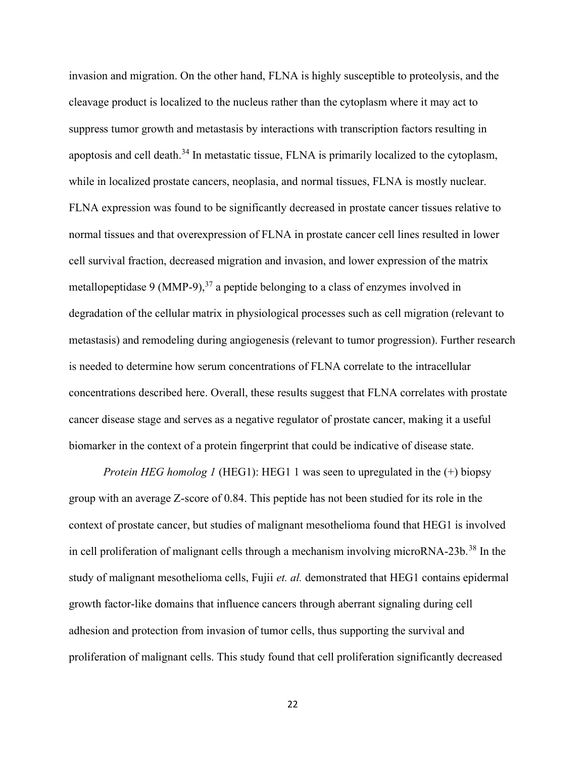invasion and migration. On the other hand, FLNA is highly susceptible to proteolysis, and the cleavage product is localized to the nucleus rather than the cytoplasm where it may act to suppress tumor growth and metastasis by interactions with transcription factors resulting in apoptosis and cell death.<sup>34</sup> In metastatic tissue, FLNA is primarily localized to the cytoplasm, while in localized prostate cancers, neoplasia, and normal tissues, FLNA is mostly nuclear. FLNA expression was found to be significantly decreased in prostate cancer tissues relative to normal tissues and that overexpression of FLNA in prostate cancer cell lines resulted in lower cell survival fraction, decreased migration and invasion, and lower expression of the matrix metallopeptidase 9 (MMP-9), $^{37}$  a peptide belonging to a class of enzymes involved in degradation of the cellular matrix in physiological processes such as cell migration (relevant to metastasis) and remodeling during angiogenesis (relevant to tumor progression). Further research is needed to determine how serum concentrations of FLNA correlate to the intracellular concentrations described here. Overall, these results suggest that FLNA correlates with prostate cancer disease stage and serves as a negative regulator of prostate cancer, making it a useful biomarker in the context of a protein fingerprint that could be indicative of disease state.

*Protein HEG homolog 1* (HEG1): HEG1 1 was seen to upregulated in the  $(+)$  biopsy group with an average Z-score of 0.84. This peptide has not been studied for its role in the context of prostate cancer, but studies of malignant mesothelioma found that HEG1 is involved in cell proliferation of malignant cells through a mechanism involving microRNA-23b.<sup>38</sup> In the study of malignant mesothelioma cells, Fujii et. al. demonstrated that HEG1 contains epidermal growth factor-like domains that influence cancers through aberrant signaling during cell adhesion and protection from invasion of tumor cells, thus supporting the survival and proliferation of malignant cells. This study found that cell proliferation significantly decreased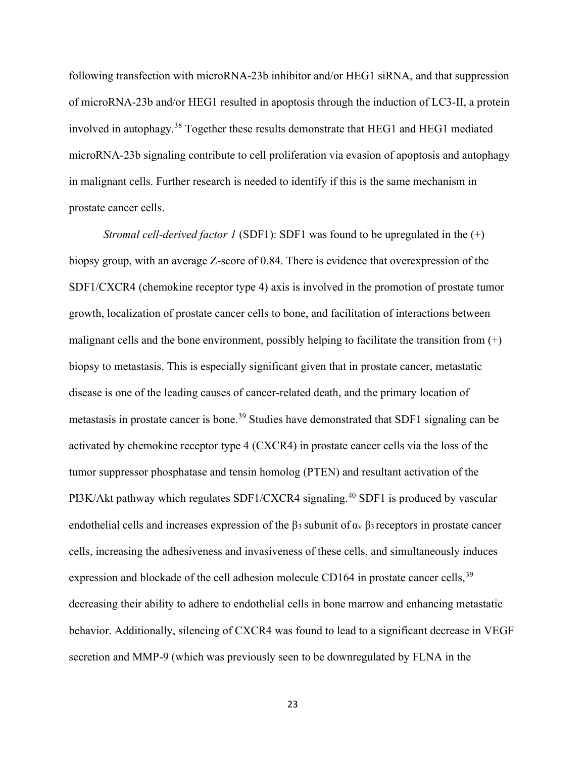following transfection with microRNA-23b inhibitor and/or HEG1 siRNA, and that suppression of microRNA-23b and/or HEG1 resulted in apoptosis through the induction of LC3-II, a protein involved in autophagy.<sup>38</sup> Together these results demonstrate that HEG1 and HEG1 mediated microRNA-23b signaling contribute to cell proliferation via evasion of apoptosis and autophagy in malignant cells. Further research is needed to identify if this is the same mechanism in prostate cancer cells.

Stromal cell-derived factor 1 (SDF1): SDF1 was found to be upregulated in the  $(+)$ biopsy group, with an average Z-score of 0.84. There is evidence that overexpression of the SDF1/CXCR4 (chemokine receptor type 4) axis is involved in the promotion of prostate tumor growth, localization of prostate cancer cells to bone, and facilitation of interactions between malignant cells and the bone environment, possibly helping to facilitate the transition from  $(+)$ biopsy to metastasis. This is especially significant given that in prostate cancer, metastatic disease is one of the leading causes of cancer-related death, and the primary location of metastasis in prostate cancer is bone.<sup>39</sup> Studies have demonstrated that SDF1 signaling can be activated by chemokine receptor type 4 (CXCR4) in prostate cancer cells via the loss of the tumor suppressor phosphatase and tensin homolog (PTEN) and resultant activation of the PI3K/Akt pathway which regulates SDF1/CXCR4 signaling.<sup>40</sup> SDF1 is produced by vascular endothelial cells and increases expression of the  $\beta_3$  subunit of  $\alpha_v$   $\beta_3$  receptors in prostate cancer cells, increasing the adhesiveness and invasiveness of these cells, and simultaneously induces expression and blockade of the cell adhesion molecule CD164 in prostate cancer cells,  $39$ decreasing their ability to adhere to endothelial cells in bone marrow and enhancing metastatic behavior. Additionally, silencing of CXCR4 was found to lead to a significant decrease in VEGF secretion and MMP-9 (which was previously seen to be downregulated by FLNA in the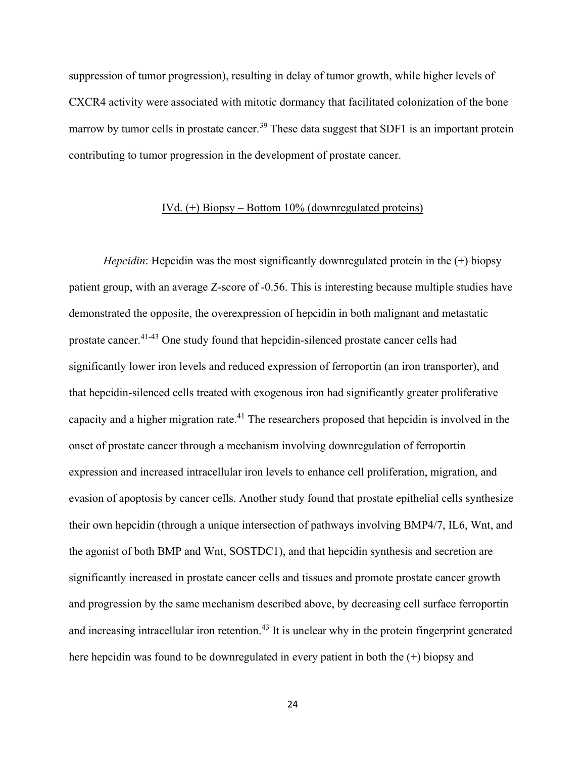suppression of tumor progression), resulting in delay of tumor growth, while higher levels of CXCR4 activity were associated with mitotic dormancy that facilitated colonization of the bone marrow by tumor cells in prostate cancer.<sup>39</sup> These data suggest that SDF1 is an important protein contributing to tumor progression in the development of prostate cancer.

#### IVd. (+) Biopsy – Bottom 10% (downregulated proteins)

*Hepcidin*: Hepcidin was the most significantly downregulated protein in the  $(+)$  biopsy patient group, with an average Z-score of -0.56. This is interesting because multiple studies have demonstrated the opposite, the overexpression of hepcidin in both malignant and metastatic prostate cancer.41-43 One study found that hepcidin-silenced prostate cancer cells had significantly lower iron levels and reduced expression of ferroportin (an iron transporter), and that hepcidin-silenced cells treated with exogenous iron had significantly greater proliferative capacity and a higher migration rate.<sup>41</sup> The researchers proposed that hepcidin is involved in the onset of prostate cancer through a mechanism involving downregulation of ferroportin expression and increased intracellular iron levels to enhance cell proliferation, migration, and evasion of apoptosis by cancer cells. Another study found that prostate epithelial cells synthesize their own hepcidin (through a unique intersection of pathways involving BMP4/7, IL6, Wnt, and the agonist of both BMP and Wnt, SOSTDC1), and that hepcidin synthesis and secretion are significantly increased in prostate cancer cells and tissues and promote prostate cancer growth and progression by the same mechanism described above, by decreasing cell surface ferroportin and increasing intracellular iron retention.<sup>43</sup> It is unclear why in the protein fingerprint generated here hepcidin was found to be downregulated in every patient in both the  $(+)$  biopsy and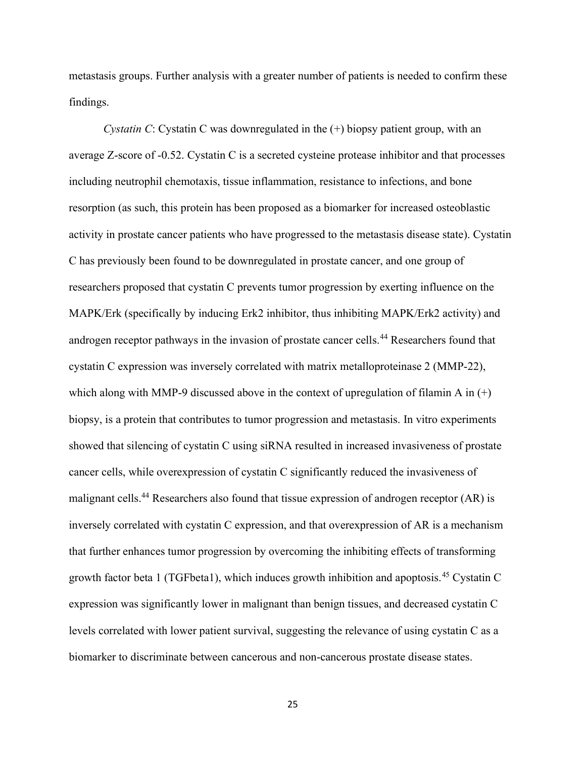metastasis groups. Further analysis with a greater number of patients is needed to confirm these findings.

Cystatin C: Cystatin C was downregulated in the  $(+)$  biopsy patient group, with an average Z-score of -0.52. Cystatin C is a secreted cysteine protease inhibitor and that processes including neutrophil chemotaxis, tissue inflammation, resistance to infections, and bone resorption (as such, this protein has been proposed as a biomarker for increased osteoblastic activity in prostate cancer patients who have progressed to the metastasis disease state). Cystatin C has previously been found to be downregulated in prostate cancer, and one group of researchers proposed that cystatin C prevents tumor progression by exerting influence on the MAPK/Erk (specifically by inducing Erk2 inhibitor, thus inhibiting MAPK/Erk2 activity) and androgen receptor pathways in the invasion of prostate cancer cells.<sup>44</sup> Researchers found that cystatin C expression was inversely correlated with matrix metalloproteinase 2 (MMP-22), which along with MMP-9 discussed above in the context of upregulation of filamin A in  $(+)$ biopsy, is a protein that contributes to tumor progression and metastasis. In vitro experiments showed that silencing of cystatin C using siRNA resulted in increased invasiveness of prostate cancer cells, while overexpression of cystatin C significantly reduced the invasiveness of malignant cells.<sup>44</sup> Researchers also found that tissue expression of androgen receptor (AR) is inversely correlated with cystatin C expression, and that overexpression of AR is a mechanism that further enhances tumor progression by overcoming the inhibiting effects of transforming growth factor beta 1 (TGFbeta1), which induces growth inhibition and apoptosis.<sup>45</sup> Cystatin C expression was significantly lower in malignant than benign tissues, and decreased cystatin C levels correlated with lower patient survival, suggesting the relevance of using cystatin C as a biomarker to discriminate between cancerous and non-cancerous prostate disease states.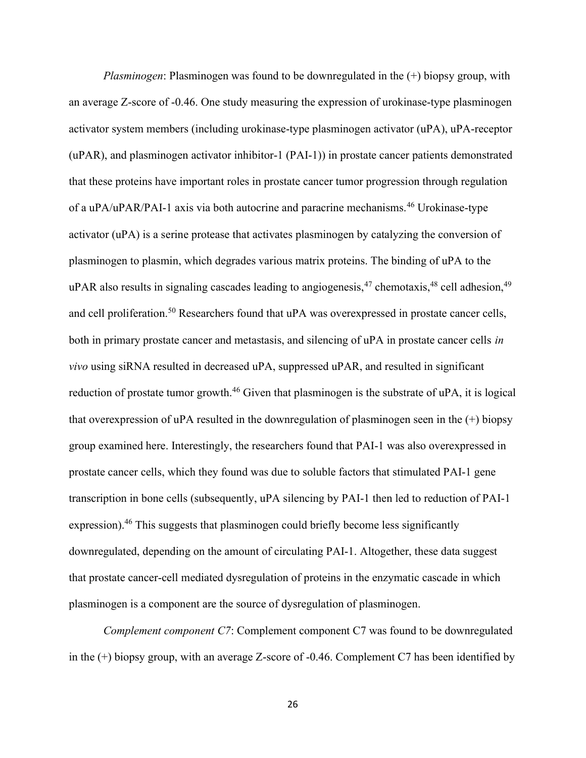Plasminogen: Plasminogen was found to be downregulated in the (+) biopsy group, with an average Z-score of -0.46. One study measuring the expression of urokinase-type plasminogen activator system members (including urokinase-type plasminogen activator (uPA), uPA-receptor (uPAR), and plasminogen activator inhibitor-1 (PAI-1)) in prostate cancer patients demonstrated that these proteins have important roles in prostate cancer tumor progression through regulation of a uPA/uPAR/PAI-1 axis via both autocrine and paracrine mechanisms.<sup>46</sup> Urokinase-type activator (uPA) is a serine protease that activates plasminogen by catalyzing the conversion of plasminogen to plasmin, which degrades various matrix proteins. The binding of uPA to the uPAR also results in signaling cascades leading to angiogenesis,  $47$  chemotaxis,  $48$  cell adhesion,  $49$ and cell proliferation.<sup>50</sup> Researchers found that uPA was overexpressed in prostate cancer cells, both in primary prostate cancer and metastasis, and silencing of uPA in prostate cancer cells in vivo using siRNA resulted in decreased uPA, suppressed uPAR, and resulted in significant reduction of prostate tumor growth.<sup>46</sup> Given that plasminogen is the substrate of uPA, it is logical that overexpression of uPA resulted in the downregulation of plasminogen seen in the  $(+)$  biopsy group examined here. Interestingly, the researchers found that PAI-1 was also overexpressed in prostate cancer cells, which they found was due to soluble factors that stimulated PAI-1 gene transcription in bone cells (subsequently, uPA silencing by PAI-1 then led to reduction of PAI-1 expression).<sup>46</sup> This suggests that plasminogen could briefly become less significantly downregulated, depending on the amount of circulating PAI-1. Altogether, these data suggest that prostate cancer-cell mediated dysregulation of proteins in the enzymatic cascade in which plasminogen is a component are the source of dysregulation of plasminogen.

Complement component C7: Complement component C7 was found to be downregulated in the (+) biopsy group, with an average Z-score of -0.46. Complement C7 has been identified by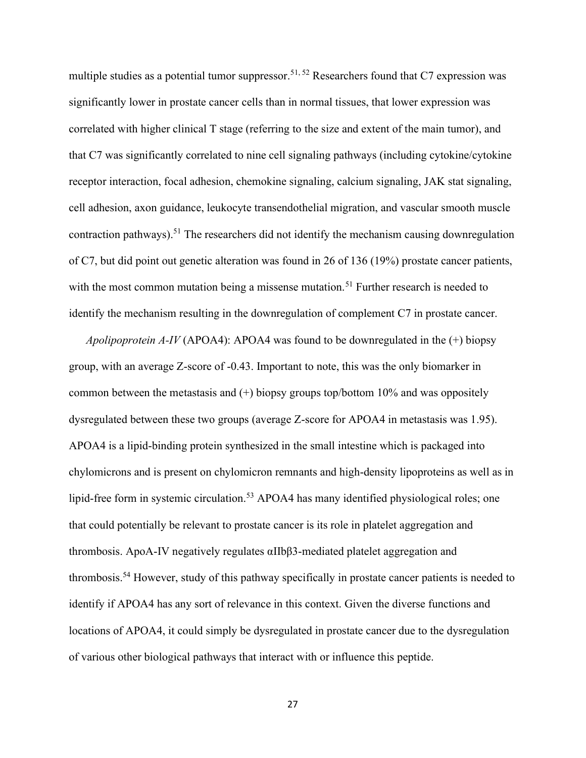multiple studies as a potential tumor suppressor.<sup>51, 52</sup> Researchers found that C7 expression was significantly lower in prostate cancer cells than in normal tissues, that lower expression was correlated with higher clinical T stage (referring to the size and extent of the main tumor), and that C7 was significantly correlated to nine cell signaling pathways (including cytokine/cytokine receptor interaction, focal adhesion, chemokine signaling, calcium signaling, JAK stat signaling, cell adhesion, axon guidance, leukocyte transendothelial migration, and vascular smooth muscle contraction pathways).<sup>51</sup> The researchers did not identify the mechanism causing downregulation of C7, but did point out genetic alteration was found in 26 of 136 (19%) prostate cancer patients, with the most common mutation being a missense mutation.<sup>51</sup> Further research is needed to identify the mechanism resulting in the downregulation of complement C7 in prostate cancer.

Apolipoprotein  $A$ -IV (APOA4): APOA4 was found to be downregulated in the  $(+)$  biopsy group, with an average Z-score of -0.43. Important to note, this was the only biomarker in common between the metastasis and  $(+)$  biopsy groups top/bottom 10% and was oppositely dysregulated between these two groups (average Z-score for APOA4 in metastasis was 1.95). APOA4 is a lipid-binding protein synthesized in the small intestine which is packaged into chylomicrons and is present on chylomicron remnants and high-density lipoproteins as well as in lipid-free form in systemic circulation.<sup>53</sup> APOA4 has many identified physiological roles; one that could potentially be relevant to prostate cancer is its role in platelet aggregation and thrombosis. ApoA-IV negatively regulates αIIbβ3-mediated platelet aggregation and thrombosis.<sup>54</sup> However, study of this pathway specifically in prostate cancer patients is needed to identify if APOA4 has any sort of relevance in this context. Given the diverse functions and locations of APOA4, it could simply be dysregulated in prostate cancer due to the dysregulation of various other biological pathways that interact with or influence this peptide.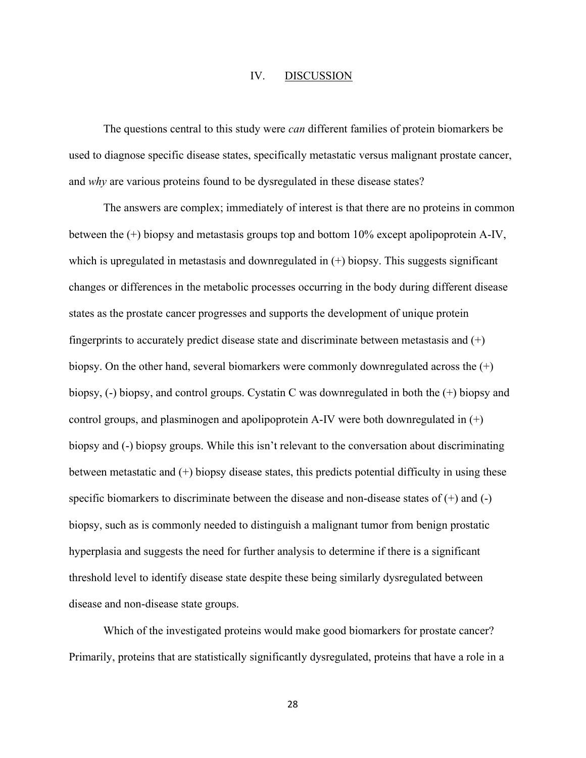#### IV. DISCUSSION

The questions central to this study were *can* different families of protein biomarkers be used to diagnose specific disease states, specifically metastatic versus malignant prostate cancer, and why are various proteins found to be dysregulated in these disease states?

The answers are complex; immediately of interest is that there are no proteins in common between the (+) biopsy and metastasis groups top and bottom 10% except apolipoprotein A-IV, which is upregulated in metastasis and downregulated in  $(+)$  biopsy. This suggests significant changes or differences in the metabolic processes occurring in the body during different disease states as the prostate cancer progresses and supports the development of unique protein fingerprints to accurately predict disease state and discriminate between metastasis and (+) biopsy. On the other hand, several biomarkers were commonly downregulated across the  $(+)$ biopsy, (-) biopsy, and control groups. Cystatin C was downregulated in both the (+) biopsy and control groups, and plasminogen and apolipoprotein A-IV were both downregulated in  $(+)$ biopsy and (-) biopsy groups. While this isn't relevant to the conversation about discriminating between metastatic and  $(+)$  biopsy disease states, this predicts potential difficulty in using these specific biomarkers to discriminate between the disease and non-disease states of  $(+)$  and  $(-)$ biopsy, such as is commonly needed to distinguish a malignant tumor from benign prostatic hyperplasia and suggests the need for further analysis to determine if there is a significant threshold level to identify disease state despite these being similarly dysregulated between disease and non-disease state groups.

Which of the investigated proteins would make good biomarkers for prostate cancer? Primarily, proteins that are statistically significantly dysregulated, proteins that have a role in a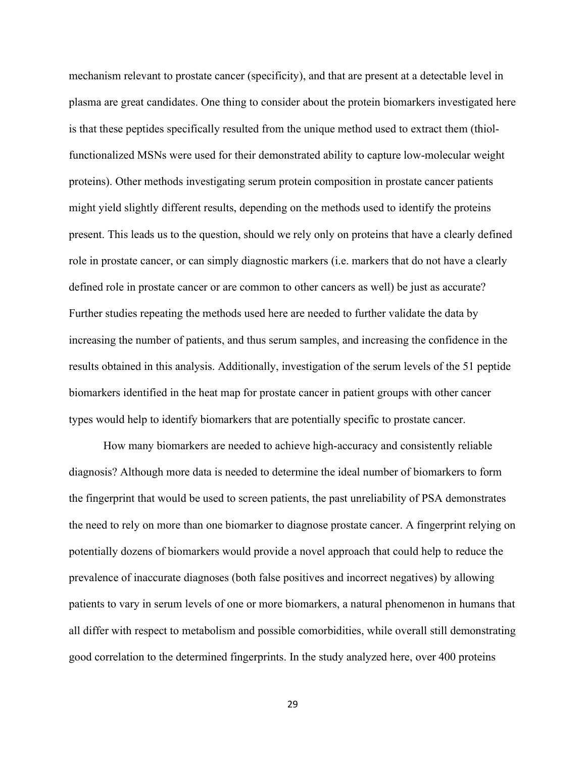mechanism relevant to prostate cancer (specificity), and that are present at a detectable level in plasma are great candidates. One thing to consider about the protein biomarkers investigated here is that these peptides specifically resulted from the unique method used to extract them (thiolfunctionalized MSNs were used for their demonstrated ability to capture low-molecular weight proteins). Other methods investigating serum protein composition in prostate cancer patients might yield slightly different results, depending on the methods used to identify the proteins present. This leads us to the question, should we rely only on proteins that have a clearly defined role in prostate cancer, or can simply diagnostic markers (i.e. markers that do not have a clearly defined role in prostate cancer or are common to other cancers as well) be just as accurate? Further studies repeating the methods used here are needed to further validate the data by increasing the number of patients, and thus serum samples, and increasing the confidence in the results obtained in this analysis. Additionally, investigation of the serum levels of the 51 peptide biomarkers identified in the heat map for prostate cancer in patient groups with other cancer types would help to identify biomarkers that are potentially specific to prostate cancer.

How many biomarkers are needed to achieve high-accuracy and consistently reliable diagnosis? Although more data is needed to determine the ideal number of biomarkers to form the fingerprint that would be used to screen patients, the past unreliability of PSA demonstrates the need to rely on more than one biomarker to diagnose prostate cancer. A fingerprint relying on potentially dozens of biomarkers would provide a novel approach that could help to reduce the prevalence of inaccurate diagnoses (both false positives and incorrect negatives) by allowing patients to vary in serum levels of one or more biomarkers, a natural phenomenon in humans that all differ with respect to metabolism and possible comorbidities, while overall still demonstrating good correlation to the determined fingerprints. In the study analyzed here, over 400 proteins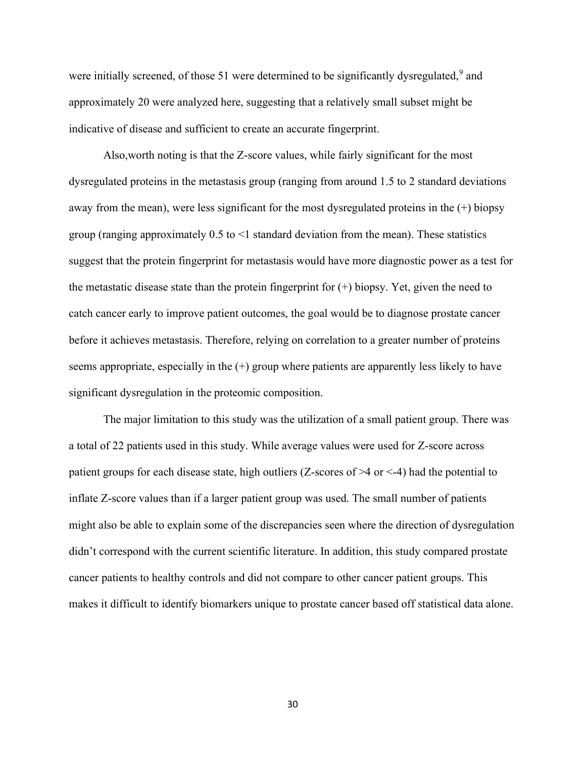were initially screened, of those 51 were determined to be significantly dysregulated,  $9$  and approximately 20 were analyzed here, suggesting that a relatively small subset might be indicative of disease and sufficient to create an accurate fingerprint.

Also,worth noting is that the Z-score values, while fairly significant for the most dysregulated proteins in the metastasis group (ranging from around 1.5 to 2 standard deviations away from the mean), were less significant for the most dysregulated proteins in the  $(+)$  biopsy group (ranging approximately  $0.5$  to  $\leq$  1 standard deviation from the mean). These statistics suggest that the protein fingerprint for metastasis would have more diagnostic power as a test for the metastatic disease state than the protein fingerprint for  $(+)$  biopsy. Yet, given the need to catch cancer early to improve patient outcomes, the goal would be to diagnose prostate cancer before it achieves metastasis. Therefore, relying on correlation to a greater number of proteins seems appropriate, especially in the (+) group where patients are apparently less likely to have significant dysregulation in the proteomic composition.

The major limitation to this study was the utilization of a small patient group. There was a total of 22 patients used in this study. While average values were used for Z-score across patient groups for each disease state, high outliers (Z-scores of  $\geq 4$  or  $\leq$ -4) had the potential to inflate Z-score values than if a larger patient group was used. The small number of patients might also be able to explain some of the discrepancies seen where the direction of dysregulation didn't correspond with the current scientific literature. In addition, this study compared prostate cancer patients to healthy controls and did not compare to other cancer patient groups. This makes it difficult to identify biomarkers unique to prostate cancer based off statistical data alone.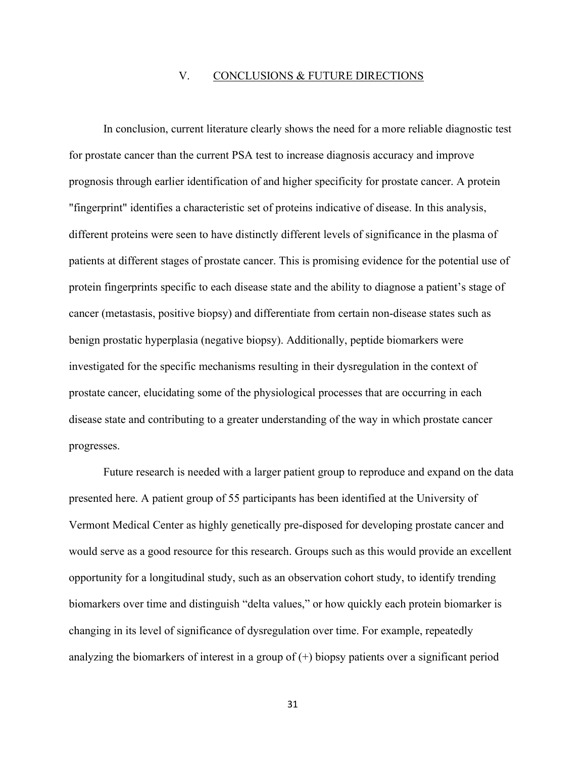## V. CONCLUSIONS & FUTURE DIRECTIONS

In conclusion, current literature clearly shows the need for a more reliable diagnostic test for prostate cancer than the current PSA test to increase diagnosis accuracy and improve prognosis through earlier identification of and higher specificity for prostate cancer. A protein "fingerprint" identifies a characteristic set of proteins indicative of disease. In this analysis, different proteins were seen to have distinctly different levels of significance in the plasma of patients at different stages of prostate cancer. This is promising evidence for the potential use of protein fingerprints specific to each disease state and the ability to diagnose a patient's stage of cancer (metastasis, positive biopsy) and differentiate from certain non-disease states such as benign prostatic hyperplasia (negative biopsy). Additionally, peptide biomarkers were investigated for the specific mechanisms resulting in their dysregulation in the context of prostate cancer, elucidating some of the physiological processes that are occurring in each disease state and contributing to a greater understanding of the way in which prostate cancer progresses.

Future research is needed with a larger patient group to reproduce and expand on the data presented here. A patient group of 55 participants has been identified at the University of Vermont Medical Center as highly genetically pre-disposed for developing prostate cancer and would serve as a good resource for this research. Groups such as this would provide an excellent opportunity for a longitudinal study, such as an observation cohort study, to identify trending biomarkers over time and distinguish "delta values," or how quickly each protein biomarker is changing in its level of significance of dysregulation over time. For example, repeatedly analyzing the biomarkers of interest in a group of  $(+)$  biopsy patients over a significant period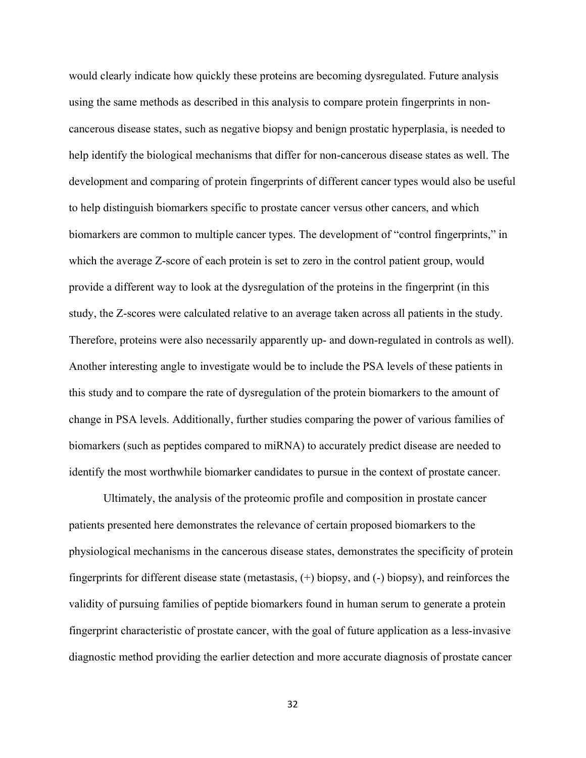would clearly indicate how quickly these proteins are becoming dysregulated. Future analysis using the same methods as described in this analysis to compare protein fingerprints in noncancerous disease states, such as negative biopsy and benign prostatic hyperplasia, is needed to help identify the biological mechanisms that differ for non-cancerous disease states as well. The development and comparing of protein fingerprints of different cancer types would also be useful to help distinguish biomarkers specific to prostate cancer versus other cancers, and which biomarkers are common to multiple cancer types. The development of "control fingerprints," in which the average Z-score of each protein is set to zero in the control patient group, would provide a different way to look at the dysregulation of the proteins in the fingerprint (in this study, the Z-scores were calculated relative to an average taken across all patients in the study. Therefore, proteins were also necessarily apparently up- and down-regulated in controls as well). Another interesting angle to investigate would be to include the PSA levels of these patients in this study and to compare the rate of dysregulation of the protein biomarkers to the amount of change in PSA levels. Additionally, further studies comparing the power of various families of biomarkers (such as peptides compared to miRNA) to accurately predict disease are needed to identify the most worthwhile biomarker candidates to pursue in the context of prostate cancer.

Ultimately, the analysis of the proteomic profile and composition in prostate cancer patients presented here demonstrates the relevance of certain proposed biomarkers to the physiological mechanisms in the cancerous disease states, demonstrates the specificity of protein fingerprints for different disease state (metastasis, (+) biopsy, and (-) biopsy), and reinforces the validity of pursuing families of peptide biomarkers found in human serum to generate a protein fingerprint characteristic of prostate cancer, with the goal of future application as a less-invasive diagnostic method providing the earlier detection and more accurate diagnosis of prostate cancer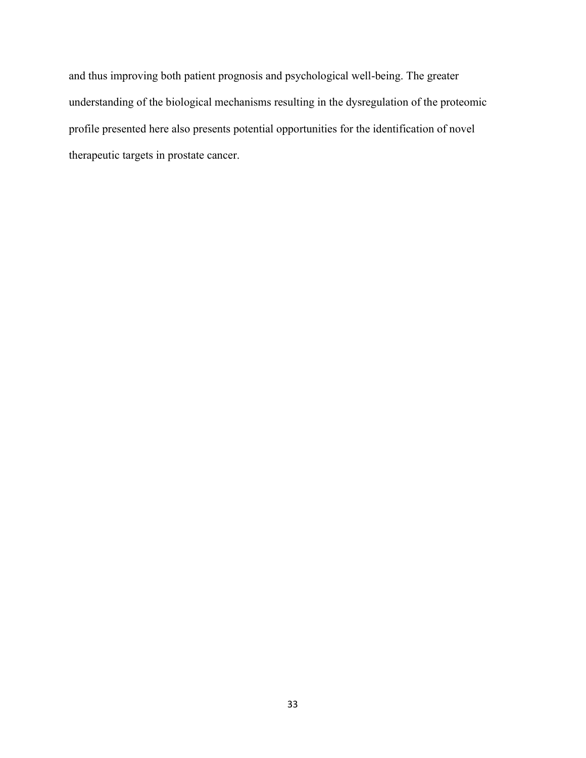and thus improving both patient prognosis and psychological well-being. The greater understanding of the biological mechanisms resulting in the dysregulation of the proteomic profile presented here also presents potential opportunities for the identification of novel therapeutic targets in prostate cancer.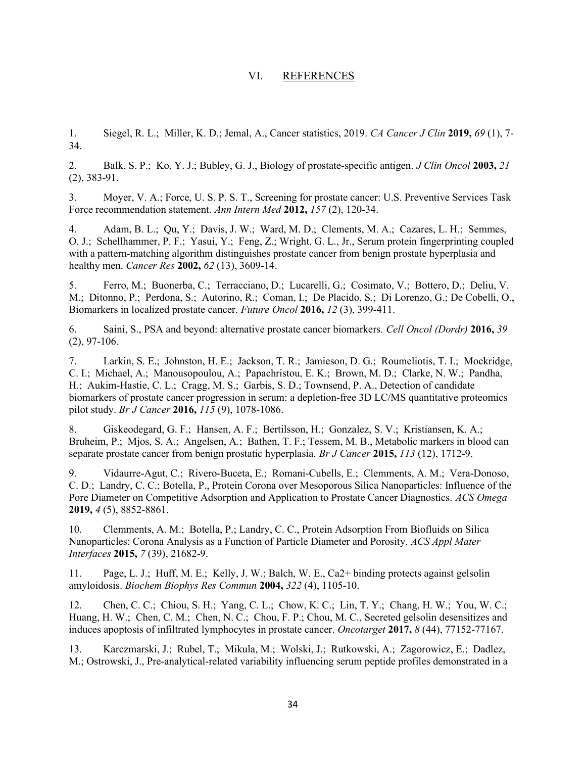## VI. REFERENCES

1. Siegel, R. L.; Miller, K. D.; Jemal, A., Cancer statistics, 2019. CA Cancer J Clin 2019, 69 (1), 7- 34.

2. Balk, S. P.; Ko, Y. J.; Bubley, G. J., Biology of prostate-specific antigen. *J Clin Oncol* 2003, 21 (2), 383-91.

3. Moyer, V. A.; Force, U. S. P. S. T., Screening for prostate cancer: U.S. Preventive Services Task Force recommendation statement. Ann Intern Med 2012, 157 (2), 120-34.

4. Adam, B. L.; Qu, Y.; Davis, J. W.; Ward, M. D.; Clements, M. A.; Cazares, L. H.; Semmes, O. J.; Schellhammer, P. F.; Yasui, Y.; Feng, Z.; Wright, G. L., Jr., Serum protein fingerprinting coupled with a pattern-matching algorithm distinguishes prostate cancer from benign prostate hyperplasia and healthy men. Cancer Res 2002, 62 (13), 3609-14.

5. Ferro, M.; Buonerba, C.; Terracciano, D.; Lucarelli, G.; Cosimato, V.; Bottero, D.; Deliu, V. M.; Ditonno, P.; Perdona, S.; Autorino, R.; Coman, I.; De Placido, S.; Di Lorenzo, G.; De Cobelli, O., Biomarkers in localized prostate cancer. Future Oncol 2016, 12 (3), 399-411.

6. Saini, S., PSA and beyond: alternative prostate cancer biomarkers. Cell Oncol (Dordr) 2016, 39 (2), 97-106.

7. Larkin, S. E.; Johnston, H. E.; Jackson, T. R.; Jamieson, D. G.; Roumeliotis, T. I.; Mockridge, C. I.; Michael, A.; Manousopoulou, A.; Papachristou, E. K.; Brown, M. D.; Clarke, N. W.; Pandha, H.; Aukim-Hastie, C. L.; Cragg, M. S.; Garbis, S. D.; Townsend, P. A., Detection of candidate biomarkers of prostate cancer progression in serum: a depletion-free 3D LC/MS quantitative proteomics pilot study. Br J Cancer 2016, 115 (9), 1078-1086.

8. Giskeodegard, G. F.; Hansen, A. F.; Bertilsson, H.; Gonzalez, S. V.; Kristiansen, K. A.; Bruheim, P.; Mjos, S. A.; Angelsen, A.; Bathen, T. F.; Tessem, M. B., Metabolic markers in blood can separate prostate cancer from benign prostatic hyperplasia. Br J Cancer 2015, 113 (12), 1712-9.

9. Vidaurre-Agut, C.; Rivero-Buceta, E.; Romani-Cubells, E.; Clemments, A. M.; Vera-Donoso, C. D.; Landry, C. C.; Botella, P., Protein Corona over Mesoporous Silica Nanoparticles: Influence of the Pore Diameter on Competitive Adsorption and Application to Prostate Cancer Diagnostics. ACS Omega 2019, 4 (5), 8852-8861.

10. Clemments, A. M.; Botella, P.; Landry, C. C., Protein Adsorption From Biofluids on Silica Nanoparticles: Corona Analysis as a Function of Particle Diameter and Porosity. ACS Appl Mater Interfaces 2015, 7 (39), 21682-9.

11. Page, L. J.; Huff, M. E.; Kelly, J. W.; Balch, W. E., Ca2+ binding protects against gelsolin amyloidosis. Biochem Biophys Res Commun 2004, 322 (4), 1105-10.

12. Chen, C. C.; Chiou, S. H.; Yang, C. L.; Chow, K. C.; Lin, T. Y.; Chang, H. W.; You, W. C.; Huang, H. W.; Chen, C. M.; Chen, N. C.; Chou, F. P.; Chou, M. C., Secreted gelsolin desensitizes and induces apoptosis of infiltrated lymphocytes in prostate cancer. Oncotarget 2017, 8 (44), 77152-77167.

13. Karczmarski, J.; Rubel, T.; Mikula, M.; Wolski, J.; Rutkowski, A.; Zagorowicz, E.; Dadlez, M.; Ostrowski, J., Pre-analytical-related variability influencing serum peptide profiles demonstrated in a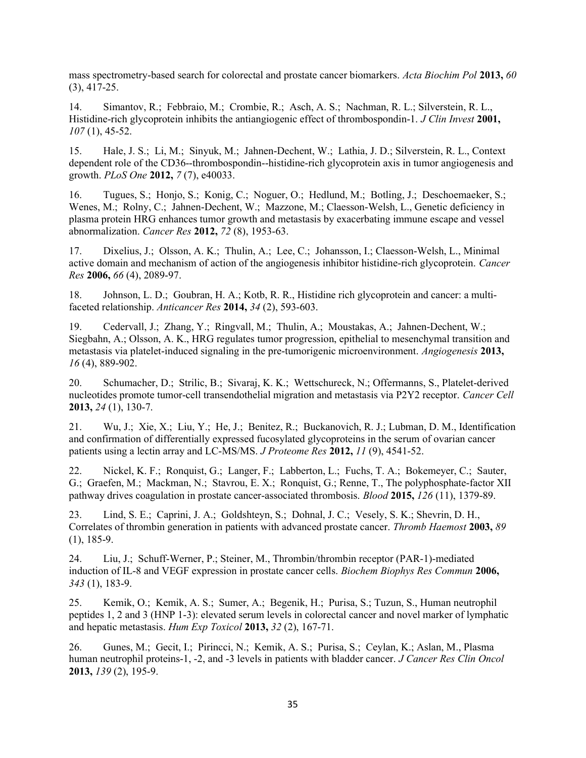mass spectrometry-based search for colorectal and prostate cancer biomarkers. Acta Biochim Pol 2013, 60 (3), 417-25.

14. Simantov, R.; Febbraio, M.; Crombie, R.; Asch, A. S.; Nachman, R. L.; Silverstein, R. L., Histidine-rich glycoprotein inhibits the antiangiogenic effect of thrombospondin-1. J Clin Invest 2001, 107 (1), 45-52.

15. Hale, J. S.; Li, M.; Sinyuk, M.; Jahnen-Dechent, W.; Lathia, J. D.; Silverstein, R. L., Context dependent role of the CD36--thrombospondin--histidine-rich glycoprotein axis in tumor angiogenesis and growth. PLoS One 2012, 7 (7), e40033.

16. Tugues, S.; Honjo, S.; Konig, C.; Noguer, O.; Hedlund, M.; Botling, J.; Deschoemaeker, S.; Wenes, M.; Rolny, C.; Jahnen-Dechent, W.; Mazzone, M.; Claesson-Welsh, L., Genetic deficiency in plasma protein HRG enhances tumor growth and metastasis by exacerbating immune escape and vessel abnormalization. Cancer Res 2012, 72 (8), 1953-63.

17. Dixelius, J.; Olsson, A. K.; Thulin, A.; Lee, C.; Johansson, I.; Claesson-Welsh, L., Minimal active domain and mechanism of action of the angiogenesis inhibitor histidine-rich glycoprotein. Cancer Res 2006, 66 (4), 2089-97.

18. Johnson, L. D.; Goubran, H. A.; Kotb, R. R., Histidine rich glycoprotein and cancer: a multifaceted relationship. Anticancer Res 2014, 34 (2), 593-603.

19. Cedervall, J.; Zhang, Y.; Ringvall, M.; Thulin, A.; Moustakas, A.; Jahnen-Dechent, W.; Siegbahn, A.; Olsson, A. K., HRG regulates tumor progression, epithelial to mesenchymal transition and metastasis via platelet-induced signaling in the pre-tumorigenic microenvironment. Angiogenesis 2013, 16 (4), 889-902.

20. Schumacher, D.; Strilic, B.; Sivaraj, K. K.; Wettschureck, N.; Offermanns, S., Platelet-derived nucleotides promote tumor-cell transendothelial migration and metastasis via P2Y2 receptor. Cancer Cell 2013, 24 (1), 130-7.

21. Wu, J.; Xie, X.; Liu, Y.; He, J.; Benitez, R.; Buckanovich, R. J.; Lubman, D. M., Identification and confirmation of differentially expressed fucosylated glycoproteins in the serum of ovarian cancer patients using a lectin array and LC-MS/MS. J Proteome Res 2012, 11 (9), 4541-52.

22. Nickel, K. F.; Ronquist, G.; Langer, F.; Labberton, L.; Fuchs, T. A.; Bokemeyer, C.; Sauter, G.; Graefen, M.; Mackman, N.; Stavrou, E. X.; Ronquist, G.; Renne, T., The polyphosphate-factor XII pathway drives coagulation in prostate cancer-associated thrombosis. Blood 2015, 126 (11), 1379-89.

23. Lind, S. E.; Caprini, J. A.; Goldshteyn, S.; Dohnal, J. C.; Vesely, S. K.; Shevrin, D. H., Correlates of thrombin generation in patients with advanced prostate cancer. Thromb Haemost 2003, 89 (1), 185-9.

24. Liu, J.; Schuff-Werner, P.; Steiner, M., Thrombin/thrombin receptor (PAR-1)-mediated induction of IL-8 and VEGF expression in prostate cancer cells. Biochem Biophys Res Commun 2006, 343 (1), 183-9.

25. Kemik, O.; Kemik, A. S.; Sumer, A.; Begenik, H.; Purisa, S.; Tuzun, S., Human neutrophil peptides 1, 2 and 3 (HNP 1-3): elevated serum levels in colorectal cancer and novel marker of lymphatic and hepatic metastasis. Hum Exp Toxicol 2013, 32 (2), 167-71.

26. Gunes, M.; Gecit, I.; Pirincci, N.; Kemik, A. S.; Purisa, S.; Ceylan, K.; Aslan, M., Plasma human neutrophil proteins-1, -2, and -3 levels in patients with bladder cancer. J Cancer Res Clin Oncol 2013, 139 (2), 195-9.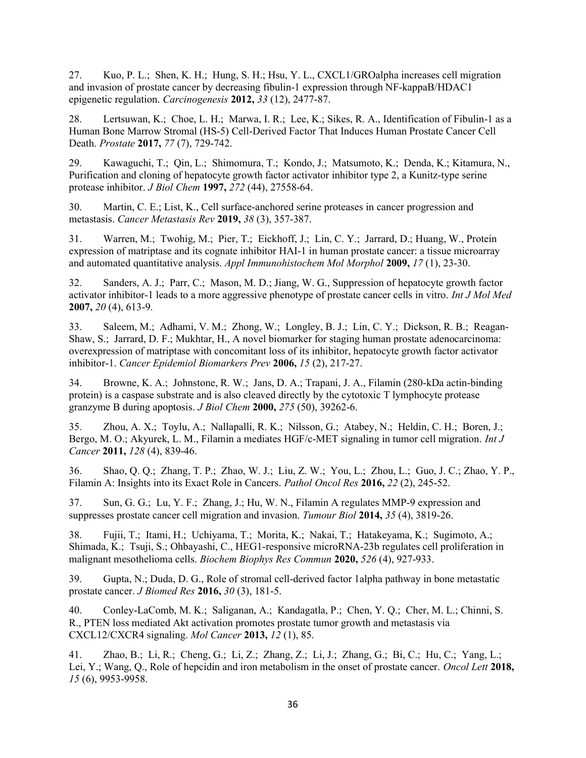27. Kuo, P. L.; Shen, K. H.; Hung, S. H.; Hsu, Y. L., CXCL1/GROalpha increases cell migration and invasion of prostate cancer by decreasing fibulin-1 expression through NF-kappaB/HDAC1 epigenetic regulation. Carcinogenesis 2012, 33 (12), 2477-87.

28. Lertsuwan, K.; Choe, L. H.; Marwa, I. R.; Lee, K.; Sikes, R. A., Identification of Fibulin-1 as a Human Bone Marrow Stromal (HS-5) Cell-Derived Factor That Induces Human Prostate Cancer Cell Death. Prostate 2017, 77 (7), 729-742.

29. Kawaguchi, T.; Qin, L.; Shimomura, T.; Kondo, J.; Matsumoto, K.; Denda, K.; Kitamura, N., Purification and cloning of hepatocyte growth factor activator inhibitor type 2, a Kunitz-type serine protease inhibitor. J Biol Chem 1997, 272 (44), 27558-64.

30. Martin, C. E.; List, K., Cell surface-anchored serine proteases in cancer progression and metastasis. Cancer Metastasis Rev 2019, 38 (3), 357-387.

31. Warren, M.; Twohig, M.; Pier, T.; Eickhoff, J.; Lin, C. Y.; Jarrard, D.; Huang, W., Protein expression of matriptase and its cognate inhibitor HAI-1 in human prostate cancer: a tissue microarray and automated quantitative analysis. Appl Immunohistochem Mol Morphol 2009, 17 (1), 23-30.

32. Sanders, A. J.; Parr, C.; Mason, M. D.; Jiang, W. G., Suppression of hepatocyte growth factor activator inhibitor-1 leads to a more aggressive phenotype of prostate cancer cells in vitro. Int J Mol Med 2007, 20 (4), 613-9.

33. Saleem, M.; Adhami, V. M.; Zhong, W.; Longley, B. J.; Lin, C. Y.; Dickson, R. B.; Reagan-Shaw, S.; Jarrard, D. F.; Mukhtar, H., A novel biomarker for staging human prostate adenocarcinoma: overexpression of matriptase with concomitant loss of its inhibitor, hepatocyte growth factor activator inhibitor-1. Cancer Epidemiol Biomarkers Prev 2006, 15 (2), 217-27.

34. Browne, K. A.; Johnstone, R. W.; Jans, D. A.; Trapani, J. A., Filamin (280-kDa actin-binding protein) is a caspase substrate and is also cleaved directly by the cytotoxic T lymphocyte protease granzyme B during apoptosis. J Biol Chem 2000, 275 (50), 39262-6.

35. Zhou, A. X.; Toylu, A.; Nallapalli, R. K.; Nilsson, G.; Atabey, N.; Heldin, C. H.; Boren, J.; Bergo, M. O.; Akyurek, L. M., Filamin a mediates HGF/c-MET signaling in tumor cell migration. *Int J* Cancer 2011, 128 (4), 839-46.

36. Shao, Q. Q.; Zhang, T. P.; Zhao, W. J.; Liu, Z. W.; You, L.; Zhou, L.; Guo, J. C.; Zhao, Y. P., Filamin A: Insights into its Exact Role in Cancers. *Pathol Oncol Res* 2016, 22 (2), 245-52.

37. Sun, G. G.; Lu, Y. F.; Zhang, J.; Hu, W. N., Filamin A regulates MMP-9 expression and suppresses prostate cancer cell migration and invasion. Tumour Biol 2014, 35 (4), 3819-26.

38. Fujii, T.; Itami, H.; Uchiyama, T.; Morita, K.; Nakai, T.; Hatakeyama, K.; Sugimoto, A.; Shimada, K.; Tsuji, S.; Ohbayashi, C., HEG1-responsive microRNA-23b regulates cell proliferation in malignant mesothelioma cells. Biochem Biophys Res Commun 2020, 526 (4), 927-933.

39. Gupta, N.; Duda, D. G., Role of stromal cell-derived factor 1alpha pathway in bone metastatic prostate cancer. J Biomed Res 2016, 30 (3), 181-5.

40. Conley-LaComb, M. K.; Saliganan, A.; Kandagatla, P.; Chen, Y. Q.; Cher, M. L.; Chinni, S. R., PTEN loss mediated Akt activation promotes prostate tumor growth and metastasis via CXCL12/CXCR4 signaling. Mol Cancer 2013, 12 (1), 85.

41. Zhao, B.; Li, R.; Cheng, G.; Li, Z.; Zhang, Z.; Li, J.; Zhang, G.; Bi, C.; Hu, C.; Yang, L.; Lei, Y.; Wang, Q., Role of hepcidin and iron metabolism in the onset of prostate cancer. Oncol Lett 2018, 15 (6), 9953-9958.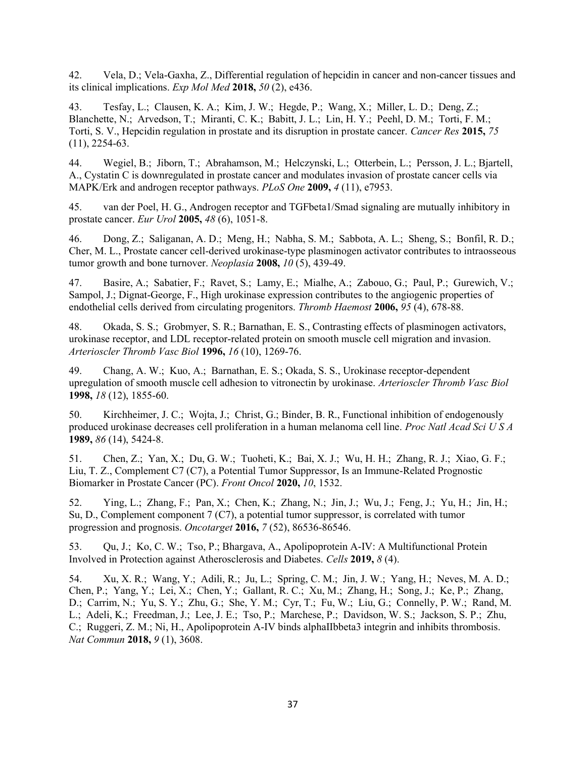42. Vela, D.; Vela-Gaxha, Z., Differential regulation of hepcidin in cancer and non-cancer tissues and its clinical implications. Exp Mol Med 2018, 50 (2), e436.

43. Tesfay, L.; Clausen, K. A.; Kim, J. W.; Hegde, P.; Wang, X.; Miller, L. D.; Deng, Z.; Blanchette, N.; Arvedson, T.; Miranti, C. K.; Babitt, J. L.; Lin, H. Y.; Peehl, D. M.; Torti, F. M.; Torti, S. V., Hepcidin regulation in prostate and its disruption in prostate cancer. Cancer Res 2015, 75  $(11), 2254-63.$ 

44. Wegiel, B.; Jiborn, T.; Abrahamson, M.; Helczynski, L.; Otterbein, L.; Persson, J. L.; Bjartell, A., Cystatin C is downregulated in prostate cancer and modulates invasion of prostate cancer cells via MAPK/Erk and androgen receptor pathways. PLoS One 2009, 4 (11), e7953.

45. van der Poel, H. G., Androgen receptor and TGFbeta1/Smad signaling are mutually inhibitory in prostate cancer. Eur Urol 2005, 48 (6), 1051-8.

46. Dong, Z.; Saliganan, A. D.; Meng, H.; Nabha, S. M.; Sabbota, A. L.; Sheng, S.; Bonfil, R. D.; Cher, M. L., Prostate cancer cell-derived urokinase-type plasminogen activator contributes to intraosseous tumor growth and bone turnover. Neoplasia 2008, 10(5), 439-49.

47. Basire, A.; Sabatier, F.; Ravet, S.; Lamy, E.; Mialhe, A.; Zabouo, G.; Paul, P.; Gurewich, V.; Sampol, J.; Dignat-George, F., High urokinase expression contributes to the angiogenic properties of endothelial cells derived from circulating progenitors. *Thromb Haemost* 2006, 95 (4), 678-88.

48. Okada, S. S.; Grobmyer, S. R.; Barnathan, E. S., Contrasting effects of plasminogen activators, urokinase receptor, and LDL receptor-related protein on smooth muscle cell migration and invasion. Arterioscler Thromb Vasc Biol 1996, 16 (10), 1269-76.

49. Chang, A. W.; Kuo, A.; Barnathan, E. S.; Okada, S. S., Urokinase receptor-dependent upregulation of smooth muscle cell adhesion to vitronectin by urokinase. Arterioscler Thromb Vasc Biol 1998, 18 (12), 1855-60.

50. Kirchheimer, J. C.; Wojta, J.; Christ, G.; Binder, B. R., Functional inhibition of endogenously produced urokinase decreases cell proliferation in a human melanoma cell line. Proc Natl Acad Sci U S A 1989, 86 (14), 5424-8.

51. Chen, Z.; Yan, X.; Du, G. W.; Tuoheti, K.; Bai, X. J.; Wu, H. H.; Zhang, R. J.; Xiao, G. F.; Liu, T. Z., Complement C7 (C7), a Potential Tumor Suppressor, Is an Immune-Related Prognostic Biomarker in Prostate Cancer (PC). Front Oncol 2020, 10, 1532.

52. Ying, L.; Zhang, F.; Pan, X.; Chen, K.; Zhang, N.; Jin, J.; Wu, J.; Feng, J.; Yu, H.; Jin, H.; Su, D., Complement component 7 (C7), a potential tumor suppressor, is correlated with tumor progression and prognosis. Oncotarget 2016, 7 (52), 86536-86546.

53. Qu, J.; Ko, C. W.; Tso, P.; Bhargava, A., Apolipoprotein A-IV: A Multifunctional Protein Involved in Protection against Atherosclerosis and Diabetes. Cells 2019, 8 (4).

54. Xu, X. R.; Wang, Y.; Adili, R.; Ju, L.; Spring, C. M.; Jin, J. W.; Yang, H.; Neves, M. A. D.; Chen, P.; Yang, Y.; Lei, X.; Chen, Y.; Gallant, R. C.; Xu, M.; Zhang, H.; Song, J.; Ke, P.; Zhang, D.; Carrim, N.; Yu, S. Y.; Zhu, G.; She, Y. M.; Cyr, T.; Fu, W.; Liu, G.; Connelly, P. W.; Rand, M. L.; Adeli, K.; Freedman, J.; Lee, J. E.; Tso, P.; Marchese, P.; Davidson, W. S.; Jackson, S. P.; Zhu, C.; Ruggeri, Z. M.; Ni, H., Apolipoprotein A-IV binds alphaIIbbeta3 integrin and inhibits thrombosis. Nat Commun 2018, 9 (1), 3608.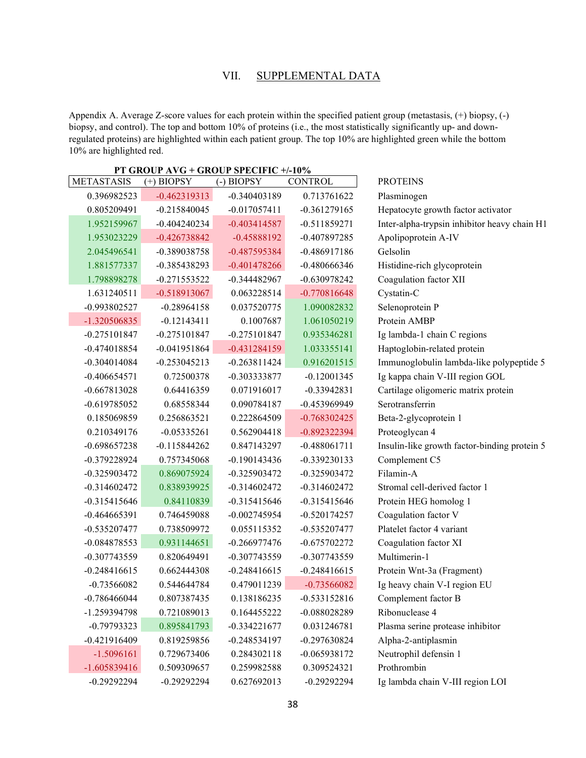# VII. SUPPLEMENTAL DATA

Appendix A. Average Z-score values for each protein within the specified patient group (metastasis, (+) biopsy, (-) biopsy, and control). The top and bottom 10% of proteins (i.e., the most statistically significantly up- and downregulated proteins) are highlighted within each patient group. The top 10% are highlighted green while the bottom 10% are highlighted red.

| TT QINQUI AVQ   QINQUI<br><b>DI EVIFIU 1/-10/0</b> |                   |                |                |                |                                              |
|----------------------------------------------------|-------------------|----------------|----------------|----------------|----------------------------------------------|
|                                                    | <b>METASTASIS</b> | $(+)$ BIOPSY   | $(-)$ BIOPSY   | <b>CONTROL</b> | <b>PROTEINS</b>                              |
|                                                    | 0.396982523       | $-0.462319313$ | $-0.340403189$ | 0.713761622    | Plasminogen                                  |
|                                                    | 0.805209491       | $-0.215840045$ | $-0.017057411$ | $-0.361279165$ | Hepatocyte growth factor activator           |
|                                                    | 1.952159967       | $-0.404240234$ | $-0.403414587$ | $-0.511859271$ | Inter-alpha-trypsin inhibitor heavy chain H1 |
|                                                    | 1.953023229       | $-0.426738842$ | $-0.45888192$  | $-0.407897285$ | Apolipoprotein A-IV                          |
|                                                    | 2.045496541       | -0.389038758   | $-0.487595384$ | $-0.486917186$ | Gelsolin                                     |
|                                                    | 1.881577337       | $-0.385438293$ | $-0.401478266$ | $-0.480666346$ | Histidine-rich glycoprotein                  |
|                                                    | 1.798898278       | $-0.271553522$ | $-0.344482967$ | $-0.630978242$ | Coagulation factor XII                       |
|                                                    | 1.631240511       | $-0.518913067$ | 0.063228514    | $-0.770816648$ | Cystatin-C                                   |
|                                                    | $-0.993802527$    | $-0.28964158$  | 0.037520775    | 1.090082832    | Selenoprotein P                              |
|                                                    | $-1.320506835$    | $-0.12143411$  | 0.1007687      | 1.061050219    | Protein AMBP                                 |
|                                                    | $-0.275101847$    | $-0.275101847$ | $-0.275101847$ | 0.935346281    | Ig lambda-1 chain C regions                  |
|                                                    | $-0.474018854$    | $-0.041951864$ | $-0.431284159$ | 1.033355141    | Haptoglobin-related protein                  |
|                                                    | $-0.304014084$    | $-0.253045213$ | $-0.263811424$ | 0.916201515    | Immunoglobulin lambda-like polypeptide 5     |
|                                                    | $-0.406654571$    | 0.72500378     | -0.303333877   | $-0.12001345$  | Ig kappa chain V-III region GOL              |
|                                                    | $-0.667813028$    | 0.64416359     | 0.071916017    | $-0.33942831$  | Cartilage oligomeric matrix protein          |
|                                                    | $-0.619785052$    | 0.68558344     | 0.090784187    | -0.453969949   | Serotransferrin                              |
|                                                    | 0.185069859       | 0.256863521    | 0.222864509    | $-0.768302425$ | Beta-2-glycoprotein 1                        |
|                                                    | 0.210349176       | $-0.05335261$  | 0.562904418    | $-0.892322394$ | Proteoglycan 4                               |
|                                                    | $-0.698657238$    | $-0.115844262$ | 0.847143297    | $-0.488061711$ | Insulin-like growth factor-binding protein 5 |
|                                                    | -0.379228924      | 0.757345068    | $-0.190143436$ | $-0.339230133$ | Complement C5                                |
|                                                    | $-0.325903472$    | 0.869075924    | $-0.325903472$ | $-0.325903472$ | Filamin-A                                    |
|                                                    | $-0.314602472$    | 0.838939925    | $-0.314602472$ | $-0.314602472$ | Stromal cell-derived factor 1                |
|                                                    | $-0.315415646$    | 0.84110839     | $-0.315415646$ | $-0.315415646$ | Protein HEG homolog 1                        |
|                                                    | $-0.464665391$    | 0.746459088    | $-0.002745954$ | $-0.520174257$ | Coagulation factor V                         |
|                                                    | $-0.535207477$    | 0.738509972    | 0.055115352    | $-0.535207477$ | Platelet factor 4 variant                    |
|                                                    | $-0.084878553$    | 0.931144651    | $-0.266977476$ | $-0.675702272$ | Coagulation factor XI                        |
|                                                    | $-0.307743559$    | 0.820649491    | $-0.307743559$ | $-0.307743559$ | Multimerin-1                                 |
|                                                    | $-0.248416615$    | 0.662444308    | $-0.248416615$ | $-0.248416615$ | Protein Wnt-3a (Fragment)                    |
|                                                    | $-0.73566082$     | 0.544644784    | 0.479011239    | $-0.73566082$  | Ig heavy chain V-I region EU                 |
|                                                    | $-0.786466044$    | 0.807387435    | 0.138186235    | $-0.533152816$ | Complement factor B                          |
|                                                    | -1.259394798      | 0.721089013    | 0.164455222    | -0.088028289   | Ribonuclease 4                               |
|                                                    | $-0.79793323$     | 0.895841793    | $-0.334221677$ | 0.031246781    | Plasma serine protease inhibitor             |
|                                                    | $-0.421916409$    | 0.819259856    | $-0.248534197$ | $-0.297630824$ | Alpha-2-antiplasmin                          |
|                                                    | $-1.5096161$      | 0.729673406    | 0.284302118    | $-0.065938172$ | Neutrophil defensin 1                        |
|                                                    | $-1.605839416$    | 0.509309657    | 0.259982588    | 0.309524321    | Prothrombin                                  |
|                                                    | $-0.29292294$     | $-0.29292294$  | 0.627692013    | $-0.29292294$  | Ig lambda chain V-III region LOI             |

PT GROUP AVG + GROUP SPECIFIC +/-10%